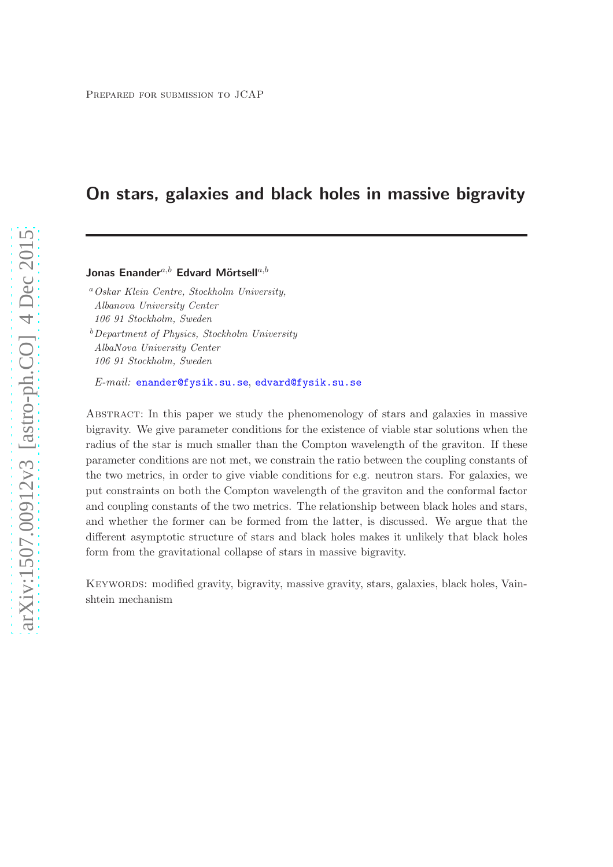# On stars, galaxies and black holes in massive bigravity

## Jonas Enander<sup>a,b</sup> Edvard Mörtsell<sup>a,b</sup>

<sup>a</sup>Oskar Klein Centre, Stockholm University, Albanova University Center 106 91 Stockholm, Sweden  $b$ Department of Physics, Stockholm University AlbaNova University Center 106 91 Stockholm, Sweden

E-mail: [enander@fysik.su.se](mailto:enander@fysik.su.se), [edvard@fysik.su.se](mailto:edvard@fysik.su.se)

Abstract: In this paper we study the phenomenology of stars and galaxies in massive bigravity. We give parameter conditions for the existence of viable star solutions when the radius of the star is much smaller than the Compton wavelength of the graviton. If these parameter conditions are not met, we constrain the ratio between the coupling constants of the two metrics, in order to give viable conditions for e.g. neutron stars. For galaxies, we put constraints on both the Compton wavelength of the graviton and the conformal factor and coupling constants of the two metrics. The relationship between black holes and stars, and whether the former can be formed from the latter, is discussed. We argue that the different asymptotic structure of stars and black holes makes it unlikely that black holes form from the gravitational collapse of stars in massive bigravity.

KEYWORDS: modified gravity, bigravity, massive gravity, stars, galaxies, black holes, Vainshtein mechanism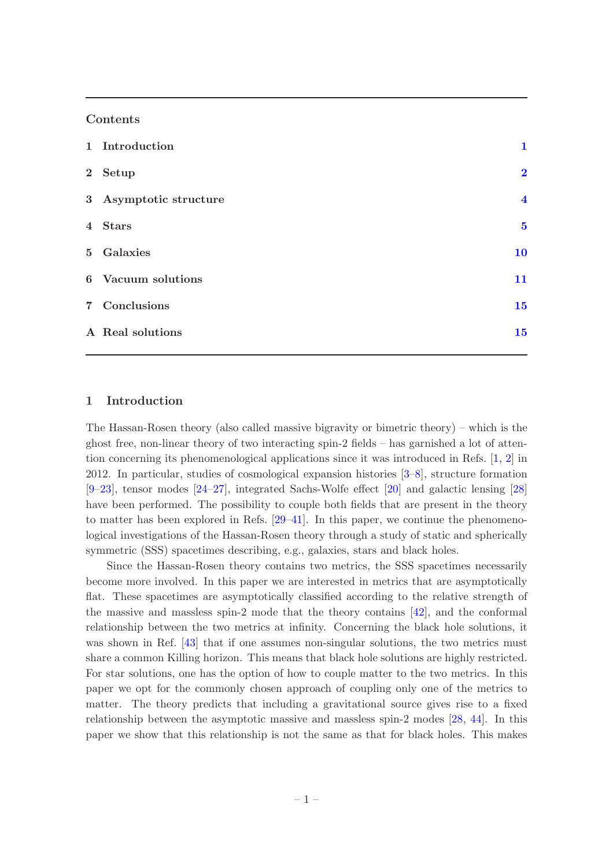## Contents

| 1 Introduction         | 1                       |
|------------------------|-------------------------|
| 2 Setup                | $\overline{2}$          |
| 3 Asymptotic structure | $\overline{\mathbf{4}}$ |
| 4 Stars                | $\overline{\mathbf{5}}$ |
| 5 Galaxies             | 10                      |
| 6 Vacuum solutions     | 11                      |
| 7 Conclusions          | 15                      |
| A Real solutions       | 15                      |

### <span id="page-1-0"></span>1 Introduction

The Hassan-Rosen theory (also called massive bigravity or bimetric theory) – which is the ghost free, non-linear theory of two interacting spin-2 fields – has garnished a lot of attention concerning its phenomenological applications since it was introduced in Refs. [\[1](#page-17-0), [2](#page-17-1)] in 2012. In particular, studies of cosmological expansion histories [\[3](#page-17-2)[–8](#page-18-0)], structure formation [\[9](#page-18-1)[–23](#page-19-0)], tensor modes [\[24](#page-19-1)[–27\]](#page-19-2), integrated Sachs-Wolfe effect [\[20\]](#page-18-2) and galactic lensing [\[28\]](#page-19-3) have been performed. The possibility to couple both fields that are present in the theory to matter has been explored in Refs. [\[29](#page-19-4)[–41\]](#page-19-5). In this paper, we continue the phenomenological investigations of the Hassan-Rosen theory through a study of static and spherically symmetric (SSS) spacetimes describing, e.g., galaxies, stars and black holes.

Since the Hassan-Rosen theory contains two metrics, the SSS spacetimes necessarily become more involved. In this paper we are interested in metrics that are asymptotically flat. These spacetimes are asymptotically classified according to the relative strength of the massive and massless spin-2 mode that the theory contains [\[42\]](#page-20-0), and the conformal relationship between the two metrics at infinity. Concerning the black hole solutions, it was shown in Ref. [\[43\]](#page-20-1) that if one assumes non-singular solutions, the two metrics must share a common Killing horizon. This means that black hole solutions are highly restricted. For star solutions, one has the option of how to couple matter to the two metrics. In this paper we opt for the commonly chosen approach of coupling only one of the metrics to matter. The theory predicts that including a gravitational source gives rise to a fixed relationship between the asymptotic massive and massless spin-2 modes [\[28](#page-19-3), [44](#page-20-2)]. In this paper we show that this relationship is not the same as that for black holes. This makes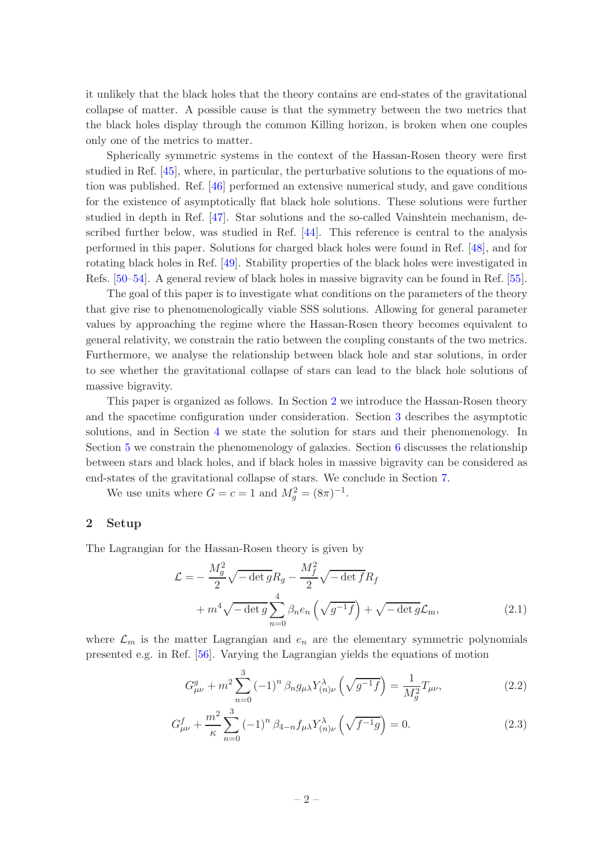it unlikely that the black holes that the theory contains are end-states of the gravitational collapse of matter. A possible cause is that the symmetry between the two metrics that the black holes display through the common Killing horizon, is broken when one couples only one of the metrics to matter.

Spherically symmetric systems in the context of the Hassan-Rosen theory were first studied in Ref. [\[45](#page-20-3)], where, in particular, the perturbative solutions to the equations of motion was published. Ref. [\[46](#page-20-4)] performed an extensive numerical study, and gave conditions for the existence of asymptotically flat black hole solutions. These solutions were further studied in depth in Ref. [\[47](#page-20-5)]. Star solutions and the so-called Vainshtein mechanism, described further below, was studied in Ref. [\[44](#page-20-2)]. This reference is central to the analysis performed in this paper. Solutions for charged black holes were found in Ref. [\[48](#page-20-6)], and for rotating black holes in Ref. [\[49](#page-20-7)]. Stability properties of the black holes were investigated in Refs. [\[50](#page-20-8)[–54](#page-20-9)]. A general review of black holes in massive bigravity can be found in Ref. [\[55\]](#page-20-10).

The goal of this paper is to investigate what conditions on the parameters of the theory that give rise to phenomenologically viable SSS solutions. Allowing for general parameter values by approaching the regime where the Hassan-Rosen theory becomes equivalent to general relativity, we constrain the ratio between the coupling constants of the two metrics. Furthermore, we analyse the relationship between black hole and star solutions, in order to see whether the gravitational collapse of stars can lead to the black hole solutions of massive bigravity.

This paper is organized as follows. In Section [2](#page-2-0) we introduce the Hassan-Rosen theory and the spacetime configuration under consideration. Section [3](#page-4-0) describes the asymptotic solutions, and in Section [4](#page-5-0) we state the solution for stars and their phenomenology. In Section [5](#page-10-0) we constrain the phenomenology of galaxies. Section [6](#page-11-0) discusses the relationship between stars and black holes, and if black holes in massive bigravity can be considered as end-states of the gravitational collapse of stars. We conclude in Section [7.](#page-15-0)

We use units where  $G = c = 1$  and  $M_g^2 = (8\pi)^{-1}$ .

#### <span id="page-2-0"></span>2 Setup

The Lagrangian for the Hassan-Rosen theory is given by

$$
\mathcal{L} = -\frac{M_g^2}{2} \sqrt{-\det g} R_g - \frac{M_f^2}{2} \sqrt{-\det f} R_f
$$
  
+  $m^4 \sqrt{-\det g} \sum_{n=0}^4 \beta_n e_n \left( \sqrt{g^{-1} f} \right) + \sqrt{-\det g} \mathcal{L}_m,$  (2.1)

where  $\mathcal{L}_m$  is the matter Lagrangian and  $e_n$  are the elementary symmetric polynomials presented e.g. in Ref. [\[56\]](#page-20-11). Varying the Lagrangian yields the equations of motion

$$
G_{\mu\nu}^{g} + m^{2} \sum_{n=0}^{3} (-1)^{n} \beta_{n} g_{\mu\lambda} Y_{(n)\nu}^{\lambda} \left( \sqrt{g^{-1} f} \right) = \frac{1}{M_{g}^{2}} T_{\mu\nu}, \qquad (2.2)
$$

$$
G_{\mu\nu}^f + \frac{m^2}{\kappa} \sum_{n=0}^3 (-1)^n \beta_{4-n} f_{\mu\lambda} Y_{(n)\nu}^{\lambda} \left( \sqrt{f^{-1}g} \right) = 0. \tag{2.3}
$$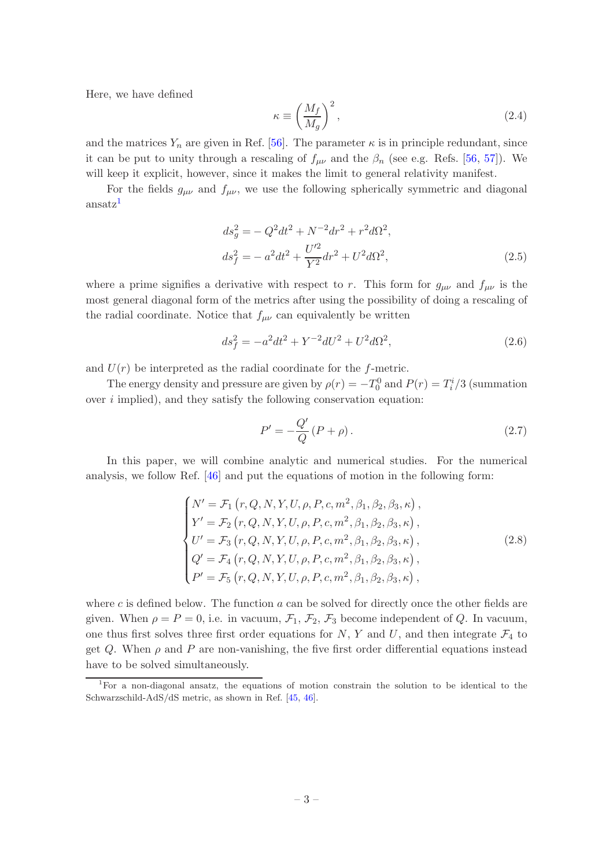Here, we have defined

$$
\kappa \equiv \left(\frac{M_f}{M_g}\right)^2,\tag{2.4}
$$

and the matrices  $Y_n$  are given in Ref. [\[56\]](#page-20-11). The parameter  $\kappa$  is in principle redundant, since it can be put to unity through a rescaling of  $f_{\mu\nu}$  and the  $\beta_n$  (see e.g. Refs. [\[56,](#page-20-11) [57\]](#page-20-12)). We will keep it explicit, however, since it makes the limit to general relativity manifest.

For the fields  $g_{\mu\nu}$  and  $f_{\mu\nu}$ , we use the following spherically symmetric and diagonal ansatz<sup>[1](#page-3-0)</sup>

$$
ds_g^2 = -Q^2 dt^2 + N^{-2} dr^2 + r^2 d\Omega^2,
$$
  
\n
$$
ds_f^2 = -a^2 dt^2 + \frac{U'^2}{Y^2} dr^2 + U^2 d\Omega^2,
$$
\n(2.5)

where a prime signifies a derivative with respect to r. This form for  $g_{\mu\nu}$  and  $f_{\mu\nu}$  is the most general diagonal form of the metrics after using the possibility of doing a rescaling of the radial coordinate. Notice that  $f_{\mu\nu}$  can equivalently be written

$$
ds_f^2 = -a^2 dt^2 + Y^{-2} dU^2 + U^2 d\Omega^2,
$$
\n(2.6)

and  $U(r)$  be interpreted as the radial coordinate for the f-metric.

The energy density and pressure are given by  $\rho(r) = -T_0^0$  and  $P(r) = T_i^i/3$  (summation over  $i$  implied), and they satisfy the following conservation equation:

<span id="page-3-1"></span>
$$
P' = -\frac{Q'}{Q}(P+\rho). \tag{2.7}
$$

In this paper, we will combine analytic and numerical studies. For the numerical analysis, we follow Ref. [\[46\]](#page-20-4) and put the equations of motion in the following form:

<span id="page-3-2"></span>
$$
\begin{cases}\nN' = \mathcal{F}_1(r, Q, N, Y, U, \rho, P, c, m^2, \beta_1, \beta_2, \beta_3, \kappa), \\
Y' = \mathcal{F}_2(r, Q, N, Y, U, \rho, P, c, m^2, \beta_1, \beta_2, \beta_3, \kappa), \\
U' = \mathcal{F}_3(r, Q, N, Y, U, \rho, P, c, m^2, \beta_1, \beta_2, \beta_3, \kappa), \\
Q' = \mathcal{F}_4(r, Q, N, Y, U, \rho, P, c, m^2, \beta_1, \beta_2, \beta_3, \kappa), \\
P' = \mathcal{F}_5(r, Q, N, Y, U, \rho, P, c, m^2, \beta_1, \beta_2, \beta_3, \kappa),\n\end{cases} (2.8)
$$

where c is defined below. The function  $a$  can be solved for directly once the other fields are given. When  $\rho = P = 0$ , i.e. in vacuum,  $\mathcal{F}_1$ ,  $\mathcal{F}_2$ ,  $\mathcal{F}_3$  become independent of Q. In vacuum, one thus first solves three first order equations for  $N$ ,  $Y$  and  $U$ , and then integrate  $\mathcal{F}_4$  to get Q. When  $\rho$  and P are non-vanishing, the five first order differential equations instead have to be solved simultaneously.

<span id="page-3-0"></span><sup>1</sup>For a non-diagonal ansatz, the equations of motion constrain the solution to be identical to the Schwarzschild-AdS/dS metric, as shown in Ref. [\[45](#page-20-3), [46](#page-20-4)].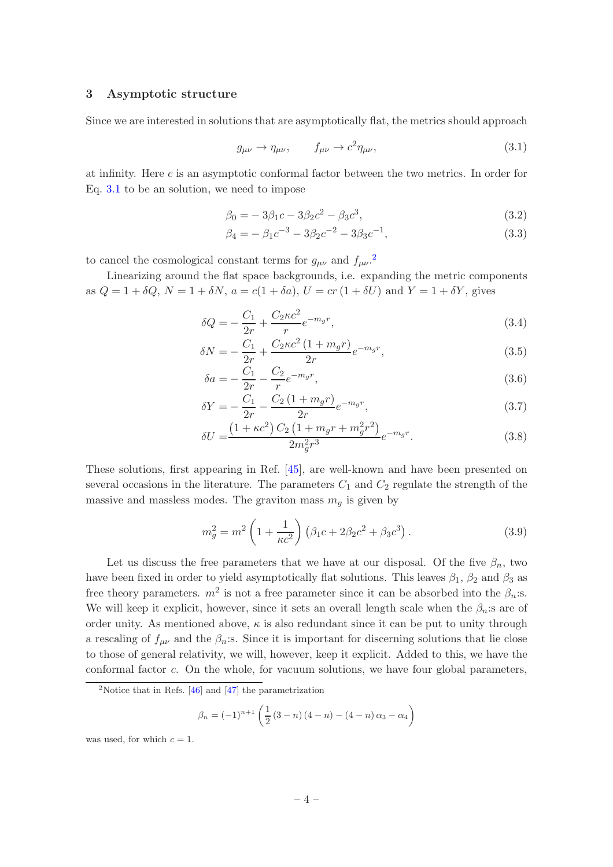### <span id="page-4-0"></span>3 Asymptotic structure

Since we are interested in solutions that are asymptotically flat, the metrics should approach

<span id="page-4-1"></span>
$$
g_{\mu\nu} \to \eta_{\mu\nu}, \qquad f_{\mu\nu} \to c^2 \eta_{\mu\nu}, \tag{3.1}
$$

at infinity. Here c is an asymptotic conformal factor between the two metrics. In order for Eq. [3.1](#page-4-1) to be an solution, we need to impose

$$
\beta_0 = -3\beta_1 c - 3\beta_2 c^2 - \beta_3 c^3,\tag{3.2}
$$

$$
\beta_4 = -\beta_1 c^{-3} - 3\beta_2 c^{-2} - 3\beta_3 c^{-1},\tag{3.3}
$$

to cancel the cosmological constant terms for  $g_{\mu\nu}$  and  $f_{\mu\nu}$ .

Linearizing around the flat space backgrounds, i.e. expanding the metric components as  $Q = 1 + \delta Q$ ,  $N = 1 + \delta N$ ,  $a = c(1 + \delta a)$ ,  $U = cr (1 + \delta U)$  and  $Y = 1 + \delta Y$ , gives

$$
\delta Q = -\frac{C_1}{2r} + \frac{C_2 \kappa c^2}{r} e^{-m_g r},\tag{3.4}
$$

$$
\delta N = -\frac{C_1}{2r} + \frac{C_2 \kappa c^2 (1 + m_g r)}{2r} e^{-m_g r},\tag{3.5}
$$

$$
\delta a = -\frac{C_1}{2r} - \frac{C_2}{r} e^{-m_g r},\tag{3.6}
$$

$$
\delta Y = -\frac{C_1}{2r} - \frac{C_2(1 + m_g r)}{2r} e^{-m_g r},\tag{3.7}
$$

$$
\delta U = \frac{\left(1 + \kappa c^2\right) C_2 \left(1 + m_g r + m_g^2 r^2\right)}{2 m_g^2 r^3} e^{-m_g r}.\tag{3.8}
$$

These solutions, first appearing in Ref. [\[45](#page-20-3)], are well-known and have been presented on several occasions in the literature. The parameters  $C_1$  and  $C_2$  regulate the strength of the massive and massless modes. The graviton mass  $m_q$  is given by

$$
m_g^2 = m^2 \left( 1 + \frac{1}{\kappa c^2} \right) \left( \beta_1 c + 2\beta_2 c^2 + \beta_3 c^3 \right). \tag{3.9}
$$

Let us discuss the free parameters that we have at our disposal. Of the five  $\beta_n$ , two have been fixed in order to yield asymptotically flat solutions. This leaves  $\beta_1$ ,  $\beta_2$  and  $\beta_3$  as free theory parameters.  $m^2$  is not a free parameter since it can be absorbed into the  $\beta_n$ :s. We will keep it explicit, however, since it sets an overall length scale when the  $\beta_n$ : s are of order unity. As mentioned above,  $\kappa$  is also redundant since it can be put to unity through a rescaling of  $f_{\mu\nu}$  and the  $\beta_n$ :s. Since it is important for discerning solutions that lie close to those of general relativity, we will, however, keep it explicit. Added to this, we have the conformal factor c. On the whole, for vacuum solutions, we have four global parameters,

$$
\beta_n = (-1)^{n+1} \left( \frac{1}{2} (3-n) (4-n) - (4-n) \alpha_3 - \alpha_4 \right)
$$

was used, for which  $c = 1$ .

<span id="page-4-2"></span><sup>&</sup>lt;sup>2</sup>Notice that in Refs.  $[46]$  and  $[47]$  the parametrization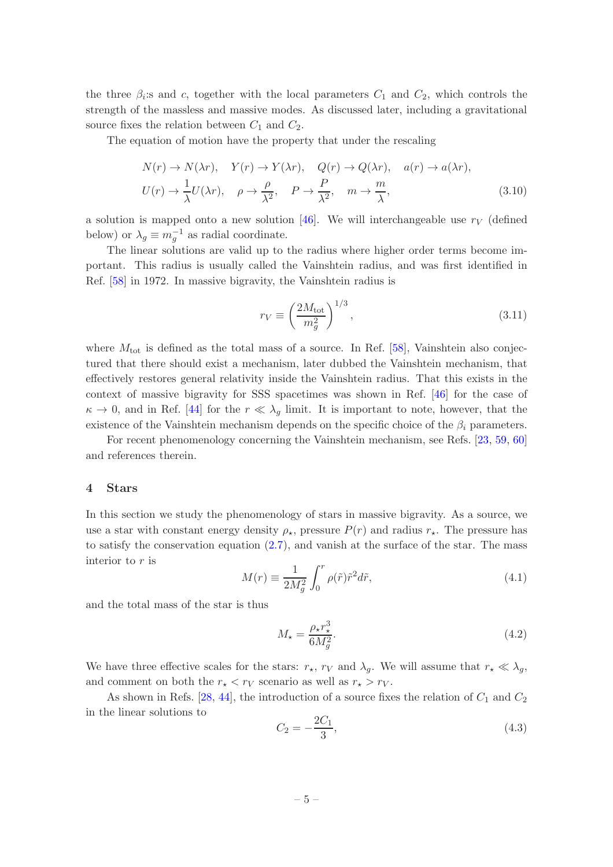the three  $\beta_i$ :s and c, together with the local parameters  $C_1$  and  $C_2$ , which controls the strength of the massless and massive modes. As discussed later, including a gravitational source fixes the relation between  $C_1$  and  $C_2$ .

The equation of motion have the property that under the rescaling

$$
N(r) \to N(\lambda r), \quad Y(r) \to Y(\lambda r), \quad Q(r) \to Q(\lambda r), \quad a(r) \to a(\lambda r),
$$
  

$$
U(r) \to \frac{1}{\lambda}U(\lambda r), \quad \rho \to \frac{\rho}{\lambda^2}, \quad P \to \frac{P}{\lambda^2}, \quad m \to \frac{m}{\lambda},
$$
 (3.10)

a solution is mapped onto a new solution [\[46](#page-20-4)]. We will interchangeable use  $r_V$  (defined below) or  $\lambda_g \equiv m_g^{-1}$  as radial coordinate.

The linear solutions are valid up to the radius where higher order terms become important. This radius is usually called the Vainshtein radius, and was first identified in Ref. [\[58](#page-20-13)] in 1972. In massive bigravity, the Vainshtein radius is

$$
r_V \equiv \left(\frac{2M_{\text{tot}}}{m_g^2}\right)^{1/3},\tag{3.11}
$$

where  $M_{\text{tot}}$  is defined as the total mass of a source. In Ref. [\[58\]](#page-20-13), Vainshtein also conjectured that there should exist a mechanism, later dubbed the Vainshtein mechanism, that effectively restores general relativity inside the Vainshtein radius. That this exists in the context of massive bigravity for SSS spacetimes was shown in Ref. [\[46](#page-20-4)] for the case of  $\kappa \to 0$ , and in Ref. [\[44\]](#page-20-2) for the  $r \ll \lambda_q$  limit. It is important to note, however, that the existence of the Vainshtein mechanism depends on the specific choice of the  $\beta_i$  parameters.

For recent phenomenology concerning the Vainshtein mechanism, see Refs. [\[23](#page-19-0), [59,](#page-20-14) [60\]](#page-20-15) and references therein.

#### <span id="page-5-0"></span>4 Stars

In this section we study the phenomenology of stars in massive bigravity. As a source, we use a star with constant energy density  $\rho_{\star}$ , pressure  $P(r)$  and radius  $r_{\star}$ . The pressure has to satisfy the conservation equation [\(2.7\)](#page-3-1), and vanish at the surface of the star. The mass interior to  $r$  is

$$
M(r) \equiv \frac{1}{2M_g^2} \int_0^r \rho(\tilde{r}) \tilde{r}^2 d\tilde{r},\tag{4.1}
$$

and the total mass of the star is thus

$$
M_{\star} = \frac{\rho_{\star} r_{\star}^3}{6M_g^2}.\tag{4.2}
$$

We have three effective scales for the stars:  $r_{\star}$ ,  $r_V$  and  $\lambda_g$ . We will assume that  $r_{\star} \ll \lambda_g$ , and comment on both the  $r_{\star} < r_V$  scenario as well as  $r_{\star} > r_V$ .

As shown in Refs. [\[28,](#page-19-3) [44](#page-20-2)], the introduction of a source fixes the relation of  $C_1$  and  $C_2$ in the linear solutions to

$$
C_2 = -\frac{2C_1}{3},\tag{4.3}
$$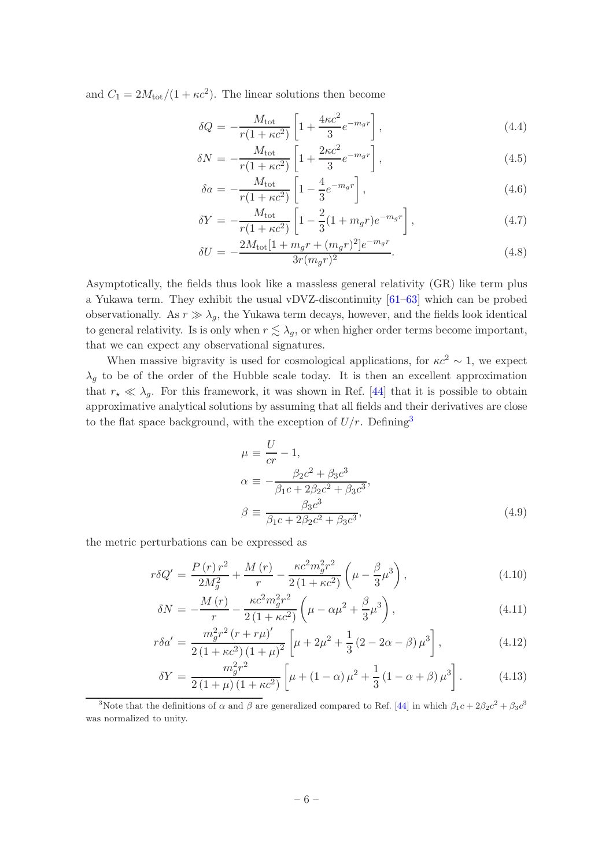and  $C_1 = 2M_{\text{tot}}/(1 + \kappa c^2)$ . The linear solutions then become

$$
\delta Q = -\frac{M_{\text{tot}}}{r(1 + \kappa c^2)} \left[ 1 + \frac{4\kappa c^2}{3} e^{-m_g r} \right],\tag{4.4}
$$

$$
\delta N = -\frac{M_{\text{tot}}}{r(1 + \kappa c^2)} \left[ 1 + \frac{2\kappa c^2}{3} e^{-m_g r} \right],\tag{4.5}
$$

$$
\delta a = -\frac{M_{\text{tot}}}{r(1 + \kappa c^2)} \left[ 1 - \frac{4}{3} e^{-m_g r} \right],\tag{4.6}
$$

$$
\delta Y = -\frac{M_{\text{tot}}}{r(1 + \kappa c^2)} \left[ 1 - \frac{2}{3} (1 + m_g r) e^{-m_g r} \right],\tag{4.7}
$$

$$
\delta U = -\frac{2M_{\text{tot}}[1 + m_g r + (m_g r)^2]e^{-m_g r}}{3r(m_g r)^2}.
$$
\n(4.8)

Asymptotically, the fields thus look like a massless general relativity (GR) like term plus a Yukawa term. They exhibit the usual vDVZ-discontinuity [\[61](#page-20-16)[–63](#page-21-0)] which can be probed observationally. As  $r \gg \lambda_q$ , the Yukawa term decays, however, and the fields look identical to general relativity. Is is only when  $r \lesssim \lambda_g$ , or when higher order terms become important, that we can expect any observational signatures.

When massive bigravity is used for cosmological applications, for  $\kappa c^2 \sim 1$ , we expect  $\lambda_q$  to be of the order of the Hubble scale today. It is then an excellent approximation that  $r_{\star} \ll \lambda_g$ . For this framework, it was shown in Ref. [\[44](#page-20-2)] that it is possible to obtain approximative analytical solutions by assuming that all fields and their derivatives are close to the flat space background, with the exception of  $U/r$ . Defining<sup>[3](#page-6-0)</sup>

$$
\mu = \frac{U}{cr} - 1,\n\alpha = -\frac{\beta_2 c^2 + \beta_3 c^3}{\beta_1 c + 2\beta_2 c^2 + \beta_3 c^3},\n\beta = \frac{\beta_3 c^3}{\beta_1 c + 2\beta_2 c^2 + \beta_3 c^3},
$$
\n(4.9)

the metric perturbations can be expressed as

<span id="page-6-1"></span>
$$
r\delta Q' = \frac{P(r)r^2}{2M_g^2} + \frac{M(r)}{r} - \frac{\kappa c^2 m_g^2 r^2}{2(1 + \kappa c^2)} \left(\mu - \frac{\beta}{3}\mu^3\right),\tag{4.10}
$$

$$
\delta N = -\frac{M(r)}{r} - \frac{\kappa c^2 m_g^2 r^2}{2(1 + \kappa c^2)} \left(\mu - \alpha \mu^2 + \frac{\beta}{3} \mu^3\right),\tag{4.11}
$$

$$
r\delta a' = \frac{m_g^2 r^2 (r + r\mu)'}{2(1 + \kappa c^2)(1 + \mu)^2} \left[ \mu + 2\mu^2 + \frac{1}{3}(2 - 2\alpha - \beta)\mu^3 \right],
$$
 (4.12)

$$
\delta Y = \frac{m_g^2 r^2}{2(1+\mu)(1+\kappa c^2)} \left[ \mu + (1-\alpha)\mu^2 + \frac{1}{3}(1-\alpha+\beta)\mu^3 \right].
$$
 (4.13)

<span id="page-6-0"></span><sup>&</sup>lt;sup>3</sup>Note that the definitions of  $\alpha$  and  $\beta$  are generalized compared to Ref. [\[44\]](#page-20-2) in which  $\beta_1 c + 2\beta_2 c^2 + \beta_3 c^3$ was normalized to unity.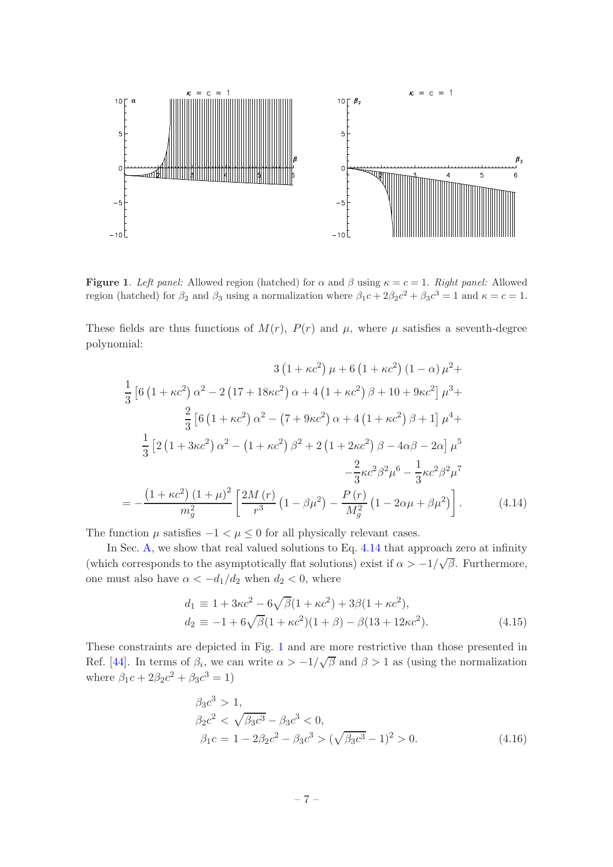

<span id="page-7-1"></span>**Figure 1.** Left panel: Allowed region (hatched) for  $\alpha$  and  $\beta$  using  $\kappa = c = 1$ . Right panel: Allowed region (hatched) for  $\beta_2$  and  $\beta_3$  using a normalization where  $\beta_1 c + 2\beta_2 c^2 + \beta_3 c^3 = 1$  and  $\kappa = c = 1$ .

These fields are thus functions of  $M(r)$ ,  $P(r)$  and  $\mu$ , where  $\mu$  satisfies a seventh-degree polynomial:

$$
3(1 + \kappa c^2) \mu + 6(1 + \kappa c^2) (1 - \alpha) \mu^2 +
$$
  
\n
$$
\frac{1}{3} [6(1 + \kappa c^2) \alpha^2 - 2(17 + 18\kappa c^2) \alpha + 4(1 + \kappa c^2) \beta + 10 + 9\kappa c^2] \mu^3 +
$$
  
\n
$$
\frac{2}{3} [6(1 + \kappa c^2) \alpha^2 - (7 + 9\kappa c^2) \alpha + 4(1 + \kappa c^2) \beta + 1] \mu^4 +
$$
  
\n
$$
\frac{1}{3} [2(1 + 3\kappa c^2) \alpha^2 - (1 + \kappa c^2) \beta^2 + 2(1 + 2\kappa c^2) \beta - 4\alpha \beta - 2\alpha] \mu^5
$$
  
\n
$$
-\frac{2}{3} \kappa c^2 \beta^2 \mu^6 - \frac{1}{3} \kappa c^2 \beta^2 \mu^7
$$
  
\n
$$
= -\frac{(1 + \kappa c^2)(1 + \mu)^2}{m_g^2} \left[ \frac{2M(r)}{r^3} (1 - \beta \mu^2) - \frac{P(r)}{M_g^2} (1 - 2\alpha \mu + \beta \mu^2) \right].
$$
 (4.14)

The function  $\mu$  satisfies  $-1 < \mu \leq 0$  for all physically relevant cases.

In Sec. [A,](#page-15-1) we show that real valued solutions to Eq. [4.14](#page-7-0) that approach zero at infinity (which corresponds to the asymptotically flat solutions) exist if  $\alpha > -1/\sqrt{\beta}$ . Furthermore, one must also have  $\alpha < -d_1/d_2$  when  $d_2 < 0$ , where

<span id="page-7-0"></span>
$$
d_1 \equiv 1 + 3\kappa c^2 - 6\sqrt{\beta}(1 + \kappa c^2) + 3\beta(1 + \kappa c^2),
$$
  
\n
$$
d_2 \equiv -1 + 6\sqrt{\beta}(1 + \kappa c^2)(1 + \beta) - \beta(13 + 12\kappa c^2).
$$
\n(4.15)

These constraints are depicted in Fig. [1](#page-7-1) and are more restrictive than those presented in Ref. [\[44](#page-20-2)]. In terms of  $\beta_i$ , we can write  $\alpha > -1/\sqrt{\beta}$  and  $\beta > 1$  as (using the normalization where  $\beta_1 c + 2\beta_2 c^2 + \beta_3 c^3 = 1$ )

<span id="page-7-2"></span>
$$
\beta_3 c^3 > 1,\n\beta_2 c^2 < \sqrt{\beta_3 c^3} - \beta_3 c^3 < 0,\n\beta_1 c = 1 - 2\beta_2 c^2 - \beta_3 c^3 > (\sqrt{\beta_3 c^3} - 1)^2 > 0.
$$
\n(4.16)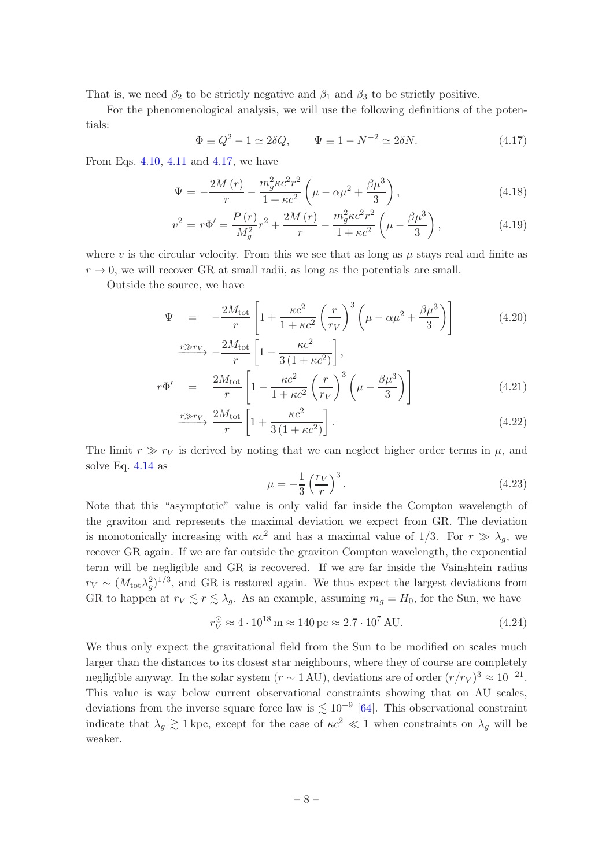That is, we need  $\beta_2$  to be strictly negative and  $\beta_1$  and  $\beta_3$  to be strictly positive.

For the phenomenological analysis, we will use the following definitions of the potentials:

<span id="page-8-0"></span>
$$
\Phi \equiv Q^2 - 1 \simeq 2\delta Q, \qquad \Psi \equiv 1 - N^{-2} \simeq 2\delta N. \tag{4.17}
$$

From Eqs. [4.10,](#page-6-1) [4.11](#page-6-1) and [4.17,](#page-8-0) we have

$$
\Psi = -\frac{2M(r)}{r} - \frac{m_g^2 \kappa c^2 r^2}{1 + \kappa c^2} \left(\mu - \alpha \mu^2 + \frac{\beta \mu^3}{3}\right),\tag{4.18}
$$

$$
v^{2} = r\Phi' = \frac{P(r)}{M_{g}^{2}}r^{2} + \frac{2M(r)}{r} - \frac{m_{g}^{2}\kappa c^{2}r^{2}}{1 + \kappa c^{2}}\left(\mu - \frac{\beta\mu^{3}}{3}\right),
$$
\n(4.19)

where v is the circular velocity. From this we see that as long as  $\mu$  stays real and finite as  $r \to 0$ , we will recover GR at small radii, as long as the potentials are small.

Outside the source, we have

<span id="page-8-1"></span>
$$
\Psi = -\frac{2M_{\text{tot}}}{r} \left[ 1 + \frac{\kappa c^2}{1 + \kappa c^2} \left( \frac{r}{r_V} \right)^3 \left( \mu - \alpha \mu^2 + \frac{\beta \mu^3}{3} \right) \right]
$$
\n
$$
\xrightarrow{r \gg r_V} -\frac{2M_{\text{tot}}}{r} \left[ 1 - \frac{\kappa c^2}{3(1 + \kappa c^2)} \right],
$$
\n(4.20)

$$
r\Phi' = \frac{2M_{\text{tot}}}{r} \left[ 1 - \frac{\kappa c^2}{1 + \kappa c^2} \left( \frac{r}{r_V} \right)^3 \left( \mu - \frac{\beta \mu^3}{3} \right) \right]
$$
(4.21)

$$
\xrightarrow{r \gg r_V} \frac{2M_{\text{tot}}}{r} \left[ 1 + \frac{\kappa c^2}{3\left(1 + \kappa c^2\right)} \right].\tag{4.22}
$$

The limit  $r \gg r_V$  is derived by noting that we can neglect higher order terms in  $\mu$ , and solve Eq. [4.14](#page-7-0) as

$$
\mu = -\frac{1}{3} \left(\frac{r_V}{r}\right)^3. \tag{4.23}
$$

Note that this "asymptotic" value is only valid far inside the Compton wavelength of the graviton and represents the maximal deviation we expect from GR. The deviation is monotonically increasing with  $\kappa c^2$  and has a maximal value of 1/3. For  $r \gg \lambda_q$ , we recover GR again. If we are far outside the graviton Compton wavelength, the exponential term will be negligible and GR is recovered. If we are far inside the Vainshtein radius  $r_V \sim (M_{\text{tot}} \lambda_g^2)^{1/3}$ , and GR is restored again. We thus expect the largest deviations from GR to happen at  $r_V \lesssim r \lesssim \lambda_g$ . As an example, assuming  $m_g = H_0$ , for the Sun, we have

$$
r_V^{\odot} \approx 4 \cdot 10^{18} \,\mathrm{m} \approx 140 \,\mathrm{pc} \approx 2.7 \cdot 10^7 \,\mathrm{AU}.\tag{4.24}
$$

We thus only expect the gravitational field from the Sun to be modified on scales much larger than the distances to its closest star neighbours, where they of course are completely negligible anyway. In the solar system  $(r \sim 1 \text{ AU})$ , deviations are of order  $(r/r_V)^3 \approx 10^{-21}$ . This value is way below current observational constraints showing that on AU scales, deviations from the inverse square force law is  $\lesssim 10^{-9}$  [\[64\]](#page-21-1). This observational constraint indicate that  $\lambda_g \gtrsim 1$  kpc, except for the case of  $\kappa c^2 \ll 1$  when constraints on  $\lambda_g$  will be weaker.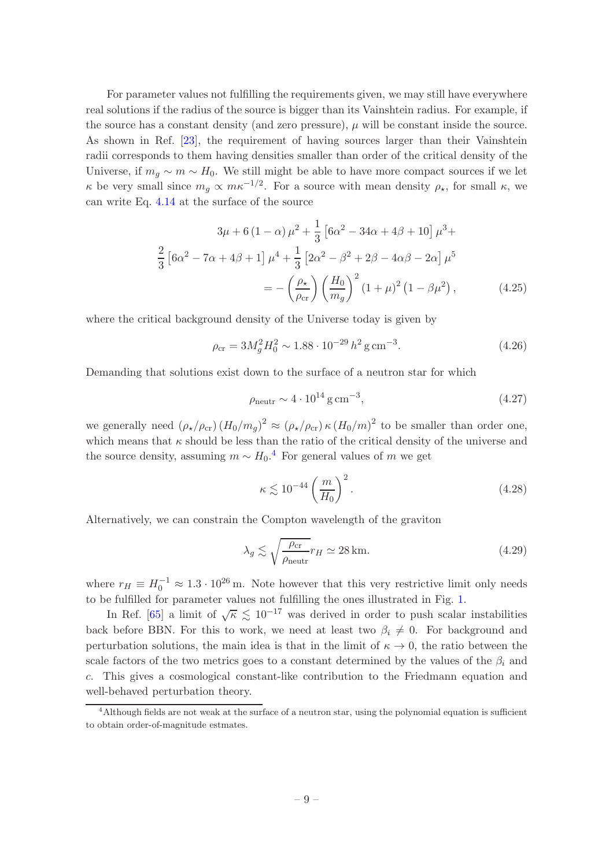For parameter values not fulfilling the requirements given, we may still have everywhere real solutions if the radius of the source is bigger than its Vainshtein radius. For example, if the source has a constant density (and zero pressure),  $\mu$  will be constant inside the source. As shown in Ref. [\[23](#page-19-0)], the requirement of having sources larger than their Vainshtein radii corresponds to them having densities smaller than order of the critical density of the Universe, if  $m_q \sim m \sim H_0$ . We still might be able to have more compact sources if we let  $\kappa$  be very small since  $m_g \propto m\kappa^{-1/2}$ . For a source with mean density  $\rho_{\star}$ , for small  $\kappa$ , we can write Eq. [4.14](#page-7-0) at the surface of the source

$$
3\mu + 6(1 - \alpha)\mu^2 + \frac{1}{3} [6\alpha^2 - 34\alpha + 4\beta + 10]\mu^3 +
$$
  

$$
\frac{2}{3} [6\alpha^2 - 7\alpha + 4\beta + 1]\mu^4 + \frac{1}{3} [2\alpha^2 - \beta^2 + 2\beta - 4\alpha\beta - 2\alpha]\mu^5
$$
  

$$
= -\left(\frac{\rho_\star}{\rho_{cr}}\right) \left(\frac{H_0}{m_g}\right)^2 (1 + \mu)^2 (1 - \beta\mu^2), \qquad (4.25)
$$

where the critical background density of the Universe today is given by

$$
\rho_{\rm cr} = 3M_g^2 H_0^2 \sim 1.88 \cdot 10^{-29} h^2 \,\text{g} \,\text{cm}^{-3}.\tag{4.26}
$$

Demanding that solutions exist down to the surface of a neutron star for which

$$
\rho_{\text{neutr}} \sim 4 \cdot 10^{14} \,\text{g cm}^{-3},\tag{4.27}
$$

we generally need  $(\rho_{\star}/\rho_{cr}) (H_0/m_g)^2 \approx (\rho_{\star}/\rho_{cr}) \kappa (H_0/m)^2$  to be smaller than order one, which means that  $\kappa$  should be less than the ratio of the critical density of the universe and the source density, assuming  $m \sim H_0$ .<sup>[4](#page-9-0)</sup> For general values of m we get

$$
\kappa \lesssim 10^{-44} \left(\frac{m}{H_0}\right)^2. \tag{4.28}
$$

Alternatively, we can constrain the Compton wavelength of the graviton

$$
\lambda_g \lesssim \sqrt{\frac{\rho_{\rm cr}}{\rho_{\rm neutr}}} r_H \simeq 28 \,\text{km}.\tag{4.29}
$$

where  $r_H \equiv H_0^{-1} \approx 1.3 \cdot 10^{26}$  m. Note however that this very restrictive limit only needs to be fulfilled for parameter values not fulfilling the ones illustrated in Fig. [1.](#page-7-1)

In Ref. [\[65](#page-21-2)] a limit of  $\sqrt{\kappa} \leq 10^{-17}$  was derived in order to push scalar instabilities back before BBN. For this to work, we need at least two  $\beta_i \neq 0$ . For background and perturbation solutions, the main idea is that in the limit of  $\kappa \to 0$ , the ratio between the scale factors of the two metrics goes to a constant determined by the values of the  $\beta_i$  and c. This gives a cosmological constant-like contribution to the Friedmann equation and well-behaved perturbation theory.

<span id="page-9-0"></span><sup>&</sup>lt;sup>4</sup>Although fields are not weak at the surface of a neutron star, using the polynomial equation is sufficient to obtain order-of-magnitude estmates.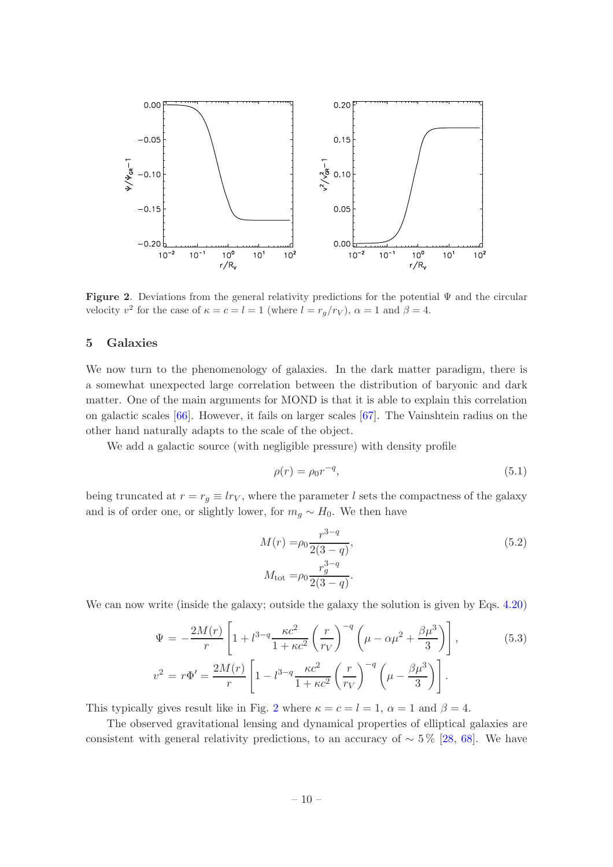

<span id="page-10-1"></span>**Figure 2.** Deviations from the general relativity predictions for the potential  $\Psi$  and the circular velocity  $v^2$  for the case of  $\kappa = c = l = 1$  (where  $l = r_g/r_V$ ),  $\alpha = 1$  and  $\beta = 4$ .

## <span id="page-10-0"></span>5 Galaxies

We now turn to the phenomenology of galaxies. In the dark matter paradigm, there is a somewhat unexpected large correlation between the distribution of baryonic and dark matter. One of the main arguments for MOND is that it is able to explain this correlation on galactic scales [\[66](#page-21-3)]. However, it fails on larger scales [\[67\]](#page-21-4). The Vainshtein radius on the other hand naturally adapts to the scale of the object.

We add a galactic source (with negligible pressure) with density profile

$$
\rho(r) = \rho_0 r^{-q},\tag{5.1}
$$

being truncated at  $r = r_g \equiv lr_V$ , where the parameter l sets the compactness of the galaxy and is of order one, or slightly lower, for  $m_q \sim H_0$ . We then have

$$
M(r) = \rho_0 \frac{r^{3-q}}{2(3-q)},
$$
  
\n
$$
M_{\text{tot}} = \rho_0 \frac{r_g^{3-q}}{2(3-q)}.
$$
\n(5.2)

We can now write (inside the galaxy; outside the galaxy the solution is given by Eqs. [4.20\)](#page-8-1)

$$
\Psi = -\frac{2M(r)}{r} \left[ 1 + l^{3-q} \frac{\kappa c^2}{1 + \kappa c^2} \left( \frac{r}{r_V} \right)^{-q} \left( \mu - \alpha \mu^2 + \frac{\beta \mu^3}{3} \right) \right],
$$
(5.3)  

$$
v^2 = r\Phi' = \frac{2M(r)}{r} \left[ 1 - l^{3-q} \frac{\kappa c^2}{1 + \kappa c^2} \left( \frac{r}{r_V} \right)^{-q} \left( \mu - \frac{\beta \mu^3}{3} \right) \right].
$$

This typically gives result like in Fig. [2](#page-10-1) where  $\kappa = c = l = 1$ ,  $\alpha = 1$  and  $\beta = 4$ .

The observed gravitational lensing and dynamical properties of elliptical galaxies are consistent with general relativity predictions, to an accuracy of  $\sim 5\%$  [\[28](#page-19-3), [68](#page-21-5)]. We have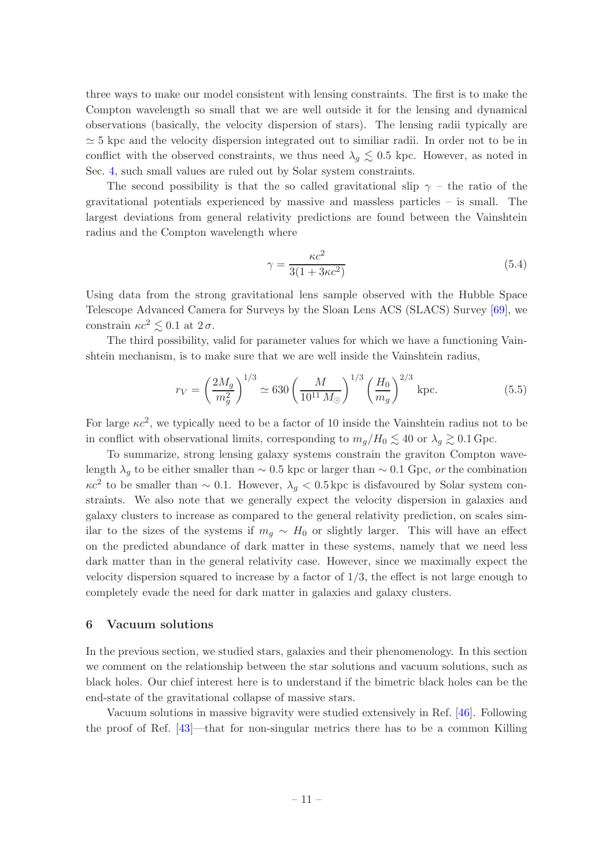three ways to make our model consistent with lensing constraints. The first is to make the Compton wavelength so small that we are well outside it for the lensing and dynamical observations (basically, the velocity dispersion of stars). The lensing radii typically are  $\simeq$  5 kpc and the velocity dispersion integrated out to similiar radii. In order not to be in conflict with the observed constraints, we thus need  $\lambda_q \lesssim 0.5$  kpc. However, as noted in Sec. [4,](#page-5-0) such small values are ruled out by Solar system constraints.

The second possibility is that the so called gravitational slip  $\gamma$  – the ratio of the gravitational potentials experienced by massive and massless particles – is small. The largest deviations from general relativity predictions are found between the Vainshtein radius and the Compton wavelength where

$$
\gamma = \frac{\kappa c^2}{3(1 + 3\kappa c^2)}\tag{5.4}
$$

Using data from the strong gravitational lens sample observed with the Hubble Space Telescope Advanced Camera for Surveys by the Sloan Lens ACS (SLACS) Survey [\[69\]](#page-21-6), we constrain  $\kappa c^2 \leq 0.1$  at  $2\sigma$ .

The third possibility, valid for parameter values for which we have a functioning Vainshtein mechanism, is to make sure that we are well inside the Vainshtein radius,

$$
r_V = \left(\frac{2M_g}{m_g^2}\right)^{1/3} \simeq 630 \left(\frac{M}{10^{11} M_\odot}\right)^{1/3} \left(\frac{H_0}{m_g}\right)^{2/3} \text{ kpc.}
$$
 (5.5)

For large  $\kappa c^2$ , we typically need to be a factor of 10 inside the Vainshtein radius not to be in conflict with observational limits, corresponding to  $m_q/H_0 \lesssim 40$  or  $\lambda_q \gtrsim 0.1$  Gpc.

To summarize, strong lensing galaxy systems constrain the graviton Compton wavelength  $\lambda_q$  to be either smaller than ~ 0.5 kpc or larger than ~ 0.1 Gpc, or the combination  $\kappa c^2$  to be smaller than ~ 0.1. However,  $\lambda_g < 0.5$  kpc is disfavoured by Solar system constraints. We also note that we generally expect the velocity dispersion in galaxies and galaxy clusters to increase as compared to the general relativity prediction, on scales similar to the sizes of the systems if  $m<sub>g</sub> \sim H<sub>0</sub>$  or slightly larger. This will have an effect on the predicted abundance of dark matter in these systems, namely that we need less dark matter than in the general relativity case. However, since we maximally expect the velocity dispersion squared to increase by a factor of  $1/3$ , the effect is not large enough to completely evade the need for dark matter in galaxies and galaxy clusters.

## <span id="page-11-0"></span>6 Vacuum solutions

In the previous section, we studied stars, galaxies and their phenomenology. In this section we comment on the relationship between the star solutions and vacuum solutions, such as black holes. Our chief interest here is to understand if the bimetric black holes can be the end-state of the gravitational collapse of massive stars.

Vacuum solutions in massive bigravity were studied extensively in Ref. [\[46\]](#page-20-4). Following the proof of Ref. [\[43](#page-20-1)]—that for non-singular metrics there has to be a common Killing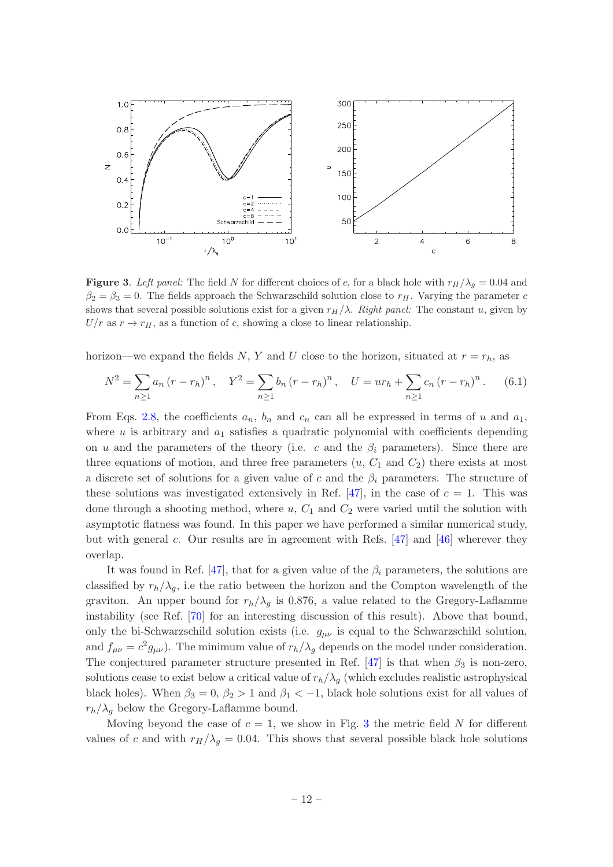

<span id="page-12-0"></span>Figure 3. Left panel: The field N for different choices of c, for a black hole with  $r_H/\lambda_g = 0.04$  and  $\beta_2 = \beta_3 = 0$ . The fields approach the Schwarzschild solution close to  $r_H$ . Varying the parameter c shows that several possible solutions exist for a given  $r_H/\lambda$ . Right panel: The constant u, given by  $U/r$  as  $r \to r_H$ , as a function of c, showing a close to linear relationship.

horizon—we expand the fields N, Y and U close to the horizon, situated at  $r = r_h$ , as

$$
N^{2} = \sum_{n\geq 1} a_{n} (r - r_{h})^{n}, \quad Y^{2} = \sum_{n\geq 1} b_{n} (r - r_{h})^{n}, \quad U = u r_{h} + \sum_{n\geq 1} c_{n} (r - r_{h})^{n}.
$$
 (6.1)

From Eqs. [2.8,](#page-3-2) the coefficients  $a_n$ ,  $b_n$  and  $c_n$  can all be expressed in terms of u and  $a_1$ , where  $u$  is arbitrary and  $a_1$  satisfies a quadratic polynomial with coefficients depending on u and the parameters of the theory (i.e. c and the  $\beta_i$  parameters). Since there are three equations of motion, and three free parameters  $(u, C_1 \text{ and } C_2)$  there exists at most a discrete set of solutions for a given value of c and the  $\beta_i$  parameters. The structure of these solutions was investigated extensively in Ref. [\[47](#page-20-5)], in the case of  $c = 1$ . This was done through a shooting method, where  $u, C_1$  and  $C_2$  were varied until the solution with asymptotic flatness was found. In this paper we have performed a similar numerical study, but with general c. Our results are in agreement with Refs.  $[47]$  and  $[46]$  wherever they overlap.

It was found in Ref. [\[47\]](#page-20-5), that for a given value of the  $\beta_i$  parameters, the solutions are classified by  $r_h/\lambda_q$ , i.e the ratio between the horizon and the Compton wavelength of the graviton. An upper bound for  $r_h/\lambda_q$  is 0.876, a value related to the Gregory-Laflamme instability (see Ref. [\[70](#page-21-7)] for an interesting discussion of this result). Above that bound, only the bi-Schwarzschild solution exists (i.e.  $g_{\mu\nu}$  is equal to the Schwarzschild solution, and  $f_{\mu\nu} = c^2 g_{\mu\nu}$ ). The minimum value of  $r_h/\lambda_g$  depends on the model under consideration. The conjectured parameter structure presented in Ref. [\[47\]](#page-20-5) is that when  $\beta_3$  is non-zero, solutions cease to exist below a critical value of  $r_h/\lambda_q$  (which excludes realistic astrophysical black holes). When  $\beta_3 = 0$ ,  $\beta_2 > 1$  and  $\beta_1 < -1$ , black hole solutions exist for all values of  $r_h/\lambda_q$  below the Gregory-Laflamme bound.

Moving beyond the case of  $c = 1$ , we show in Fig. [3](#page-12-0) the metric field N for different values of c and with  $r_H/\lambda_g = 0.04$ . This shows that several possible black hole solutions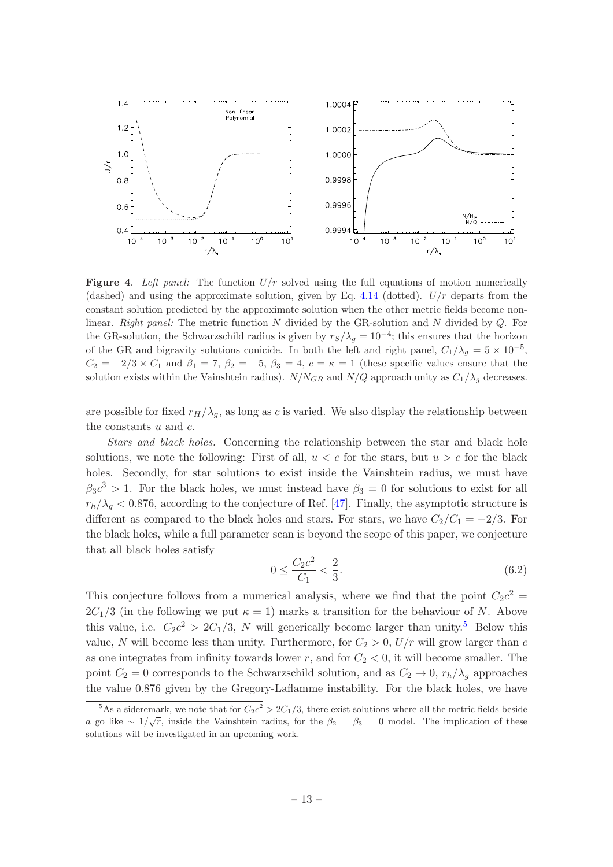

<span id="page-13-1"></span>**Figure 4.** Left panel: The function  $U/r$  solved using the full equations of motion numerically (dashed) and using the approximate solution, given by Eq. [4.14](#page-7-0) (dotted).  $U/r$  departs from the constant solution predicted by the approximate solution when the other metric fields become nonlinear. Right panel: The metric function  $N$  divided by the GR-solution and  $N$  divided by  $Q$ . For the GR-solution, the Schwarzschild radius is given by  $r_S/\lambda_g = 10^{-4}$ ; this ensures that the horizon of the GR and bigravity solutions conicide. In both the left and right panel,  $C_1/\lambda_g = 5 \times 10^{-5}$ ,  $C_2 = -2/3 \times C_1$  and  $\beta_1 = 7$ ,  $\beta_2 = -5$ ,  $\beta_3 = 4$ ,  $c = \kappa = 1$  (these specific values ensure that the solution exists within the Vainshtein radius).  $N/N_{GR}$  and  $N/Q$  approach unity as  $C_1/\lambda_q$  decreases.

are possible for fixed  $r_H/\lambda_q$ , as long as c is varied. We also display the relationship between the constants  $u$  and  $c$ .

Stars and black holes. Concerning the relationship between the star and black hole solutions, we note the following: First of all,  $u < c$  for the stars, but  $u > c$  for the black holes. Secondly, for star solutions to exist inside the Vainshtein radius, we must have  $\beta_3 c^3 > 1$ . For the black holes, we must instead have  $\beta_3 = 0$  for solutions to exist for all  $r_h/\lambda_g < 0.876$ , according to the conjecture of Ref. [\[47](#page-20-5)]. Finally, the asymptotic structure is different as compared to the black holes and stars. For stars, we have  $C_2/C_1 = -2/3$ . For the black holes, while a full parameter scan is beyond the scope of this paper, we conjecture that all black holes satisfy

$$
0 \le \frac{C_2 c^2}{C_1} < \frac{2}{3}.\tag{6.2}
$$

This conjecture follows from a numerical analysis, where we find that the point  $C_2c^2$  =  $2C_1/3$  (in the following we put  $\kappa = 1$ ) marks a transition for the behaviour of N. Above this value, i.e.  $C_2c^2 > 2C_1/3$ , N will generically become larger than unity.<sup>[5](#page-13-0)</sup> Below this value, N will become less than unity. Furthermore, for  $C_2 > 0$ ,  $U/r$  will grow larger than c as one integrates from infinity towards lower r, and for  $C_2 < 0$ , it will become smaller. The point  $C_2 = 0$  corresponds to the Schwarzschild solution, and as  $C_2 \rightarrow 0$ ,  $r_h/\lambda_g$  approaches the value 0.876 given by the Gregory-Laflamme instability. For the black holes, we have

<span id="page-13-0"></span><sup>&</sup>lt;sup>5</sup>As a sideremark, we note that for  $C_2c^2 > 2C_1/3$ , there exist solutions where all the metric fields beside a go like ∼  $1/\sqrt{r}$ , inside the Vainshtein radius, for the  $\beta_2 = \beta_3 = 0$  model. The implication of these solutions will be investigated in an upcoming work.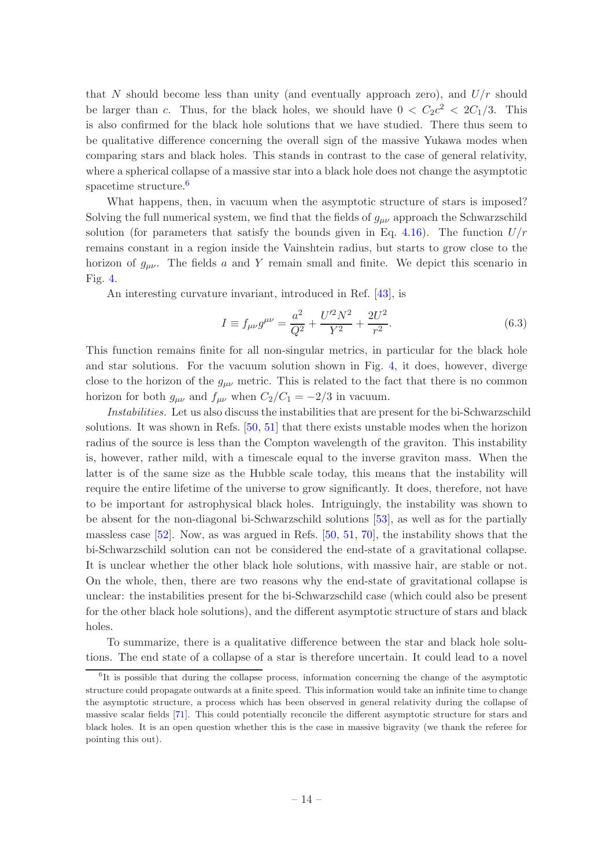that N should become less than unity (and eventually approach zero), and  $U/r$  should be larger than c. Thus, for the black holes, we should have  $0 < C_2 c^2 < 2C_1/3$ . This is also confirmed for the black hole solutions that we have studied. There thus seem to be qualitative difference concerning the overall sign of the massive Yukawa modes when comparing stars and black holes. This stands in contrast to the case of general relativity, where a spherical collapse of a massive star into a black hole does not change the asymptotic spacetime structure.<sup>[6](#page-14-0)</sup>

What happens, then, in vacuum when the asymptotic structure of stars is imposed? Solving the full numerical system, we find that the fields of  $g_{\mu\nu}$  approach the Schwarzschild solution (for parameters that satisfy the bounds given in Eq. [4.16\)](#page-7-2). The function  $U/r$ remains constant in a region inside the Vainshtein radius, but starts to grow close to the horizon of  $g_{\mu\nu}$ . The fields a and Y remain small and finite. We depict this scenario in Fig. [4.](#page-13-1)

An interesting curvature invariant, introduced in Ref. [\[43](#page-20-1)], is

$$
I \equiv f_{\mu\nu}g^{\mu\nu} = \frac{a^2}{Q^2} + \frac{U'^2 N^2}{Y^2} + \frac{2U^2}{r^2}.
$$
 (6.3)

This function remains finite for all non-singular metrics, in particular for the black hole and star solutions. For the vacuum solution shown in Fig. [4,](#page-13-1) it does, however, diverge close to the horizon of the  $g_{\mu\nu}$  metric. This is related to the fact that there is no common horizon for both  $g_{\mu\nu}$  and  $f_{\mu\nu}$  when  $C_2/C_1 = -2/3$  in vacuum.

Instabilities. Let us also discuss the instabilities that are present for the bi-Schwarzschild solutions. It was shown in Refs. [\[50](#page-20-8), [51](#page-20-17)] that there exists unstable modes when the horizon radius of the source is less than the Compton wavelength of the graviton. This instability is, however, rather mild, with a timescale equal to the inverse graviton mass. When the latter is of the same size as the Hubble scale today, this means that the instability will require the entire lifetime of the universe to grow significantly. It does, therefore, not have to be important for astrophysical black holes. Intriguingly, the instability was shown to be absent for the non-diagonal bi-Schwarzschild solutions [\[53\]](#page-20-18), as well as for the partially massless case [\[52\]](#page-20-19). Now, as was argued in Refs. [\[50](#page-20-8), [51](#page-20-17), [70\]](#page-21-7), the instability shows that the bi-Schwarzschild solution can not be considered the end-state of a gravitational collapse. It is unclear whether the other black hole solutions, with massive hair, are stable or not. On the whole, then, there are two reasons why the end-state of gravitational collapse is unclear: the instabilities present for the bi-Schwarzschild case (which could also be present for the other black hole solutions), and the different asymptotic structure of stars and black holes.

To summarize, there is a qualitative difference between the star and black hole solutions. The end state of a collapse of a star is therefore uncertain. It could lead to a novel

<span id="page-14-0"></span><sup>&</sup>lt;sup>6</sup>It is possible that during the collapse process, information concerning the change of the asymptotic structure could propagate outwards at a finite speed. This information would take an infinite time to change the asymptotic structure, a process which has been observed in general relativity during the collapse of massive scalar fields [\[71](#page-21-8)]. This could potentially reconcile the different asymptotic structure for stars and black holes. It is an open question whether this is the case in massive bigravity (we thank the referee for pointing this out).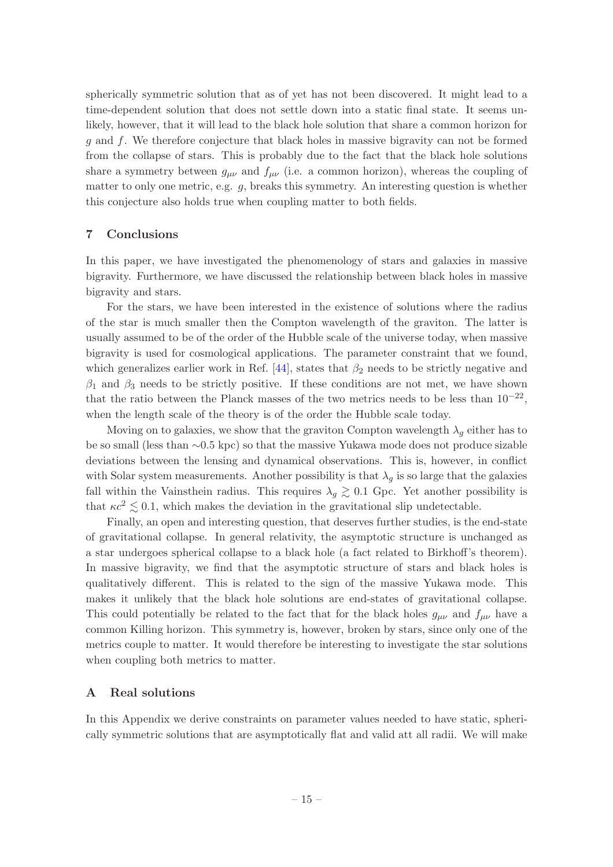spherically symmetric solution that as of yet has not been discovered. It might lead to a time-dependent solution that does not settle down into a static final state. It seems unlikely, however, that it will lead to the black hole solution that share a common horizon for g and f. We therefore conjecture that black holes in massive bigravity can not be formed from the collapse of stars. This is probably due to the fact that the black hole solutions share a symmetry between  $g_{\mu\nu}$  and  $f_{\mu\nu}$  (i.e. a common horizon), whereas the coupling of matter to only one metric, e.g.  $q$ , breaks this symmetry. An interesting question is whether this conjecture also holds true when coupling matter to both fields.

## <span id="page-15-0"></span>7 Conclusions

In this paper, we have investigated the phenomenology of stars and galaxies in massive bigravity. Furthermore, we have discussed the relationship between black holes in massive bigravity and stars.

For the stars, we have been interested in the existence of solutions where the radius of the star is much smaller then the Compton wavelength of the graviton. The latter is usually assumed to be of the order of the Hubble scale of the universe today, when massive bigravity is used for cosmological applications. The parameter constraint that we found, which generalizes earlier work in Ref.  $[44]$ , states that  $\beta_2$  needs to be strictly negative and  $\beta_1$  and  $\beta_3$  needs to be strictly positive. If these conditions are not met, we have shown that the ratio between the Planck masses of the two metrics needs to be less than  $10^{-22}$ , when the length scale of the theory is of the order the Hubble scale today.

Moving on to galaxies, we show that the graviton Compton wavelength  $\lambda_q$  either has to be so small (less than ∼0.5 kpc) so that the massive Yukawa mode does not produce sizable deviations between the lensing and dynamical observations. This is, however, in conflict with Solar system measurements. Another possibility is that  $\lambda_q$  is so large that the galaxies fall within the Vainsthein radius. This requires  $\lambda_g \gtrsim 0.1$  Gpc. Yet another possibility is that  $\kappa c^2 \lesssim 0.1$ , which makes the deviation in the gravitational slip undetectable.

Finally, an open and interesting question, that deserves further studies, is the end-state of gravitational collapse. In general relativity, the asymptotic structure is unchanged as a star undergoes spherical collapse to a black hole (a fact related to Birkhoff's theorem). In massive bigravity, we find that the asymptotic structure of stars and black holes is qualitatively different. This is related to the sign of the massive Yukawa mode. This makes it unlikely that the black hole solutions are end-states of gravitational collapse. This could potentially be related to the fact that for the black holes  $g_{\mu\nu}$  and  $f_{\mu\nu}$  have a common Killing horizon. This symmetry is, however, broken by stars, since only one of the metrics couple to matter. It would therefore be interesting to investigate the star solutions when coupling both metrics to matter.

## <span id="page-15-1"></span>A Real solutions

In this Appendix we derive constraints on parameter values needed to have static, spherically symmetric solutions that are asymptotically flat and valid att all radii. We will make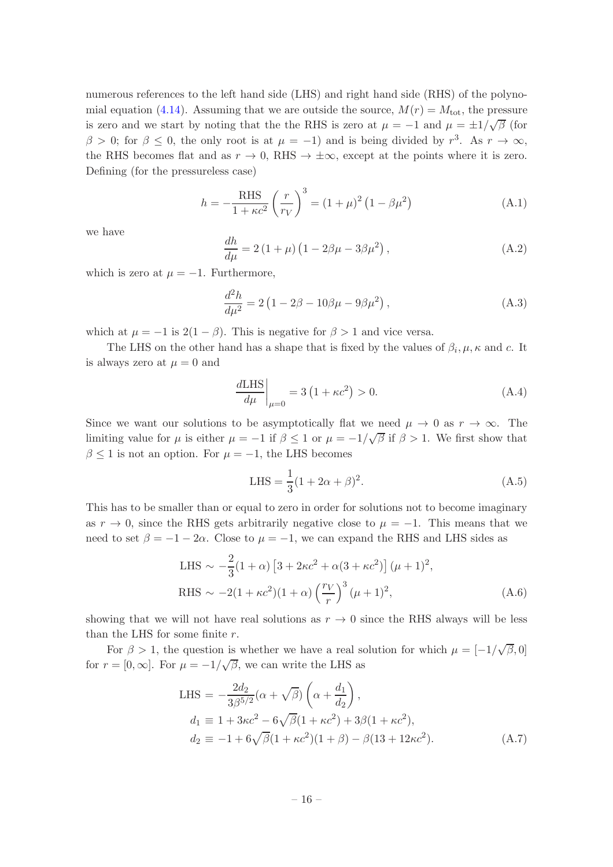numerous references to the left hand side (LHS) and right hand side (RHS) of the polyno-mial equation [\(4.14\)](#page-7-0). Assuming that we are outside the source,  $M(r) = M_{\text{tot}}$ , the pressure is zero and we start by noting that the the RHS is zero at  $\mu = -1$  and  $\mu = \pm 1/\sqrt{\beta}$  (for  $\beta > 0$ ; for  $\beta \leq 0$ , the only root is at  $\mu = -1$ ) and is being divided by  $r^3$ . As  $r \to \infty$ , the RHS becomes flat and as  $r \to 0$ , RHS  $\to \pm \infty$ , except at the points where it is zero. Defining (for the pressureless case)

$$
h = -\frac{\text{RHS}}{1 + \kappa c^2} \left(\frac{r}{r_V}\right)^3 = (1 + \mu)^2 (1 - \beta \mu^2)
$$
 (A.1)

we have

$$
\frac{dh}{d\mu} = 2(1+\mu)(1-2\beta\mu-3\beta\mu^{2}),
$$
\n(A.2)

which is zero at  $\mu = -1$ . Furthermore,

$$
\frac{d^2h}{d\mu^2} = 2\left(1 - 2\beta - 10\beta\mu - 9\beta\mu^2\right),\tag{A.3}
$$

which at  $\mu = -1$  is  $2(1 - \beta)$ . This is negative for  $\beta > 1$  and vice versa.

The LHS on the other hand has a shape that is fixed by the values of  $\beta_i, \mu, \kappa$  and c. It is always zero at  $\mu = 0$  and

$$
\left. \frac{dLHS}{d\mu} \right|_{\mu=0} = 3 \left( 1 + \kappa c^2 \right) > 0. \tag{A.4}
$$

Since we want our solutions to be asymptotically flat we need  $\mu \to 0$  as  $r \to \infty$ . The limiting value for  $\mu$  is either  $\mu = -1$  if  $\beta \leq 1$  or  $\mu = -1/\sqrt{\beta}$  if  $\beta > 1$ . We first show that  $\beta \leq 1$  is not an option. For  $\mu = -1$ , the LHS becomes

LHS = 
$$
\frac{1}{3}(1 + 2\alpha + \beta)^2
$$
. (A.5)

This has to be smaller than or equal to zero in order for solutions not to become imaginary as  $r \to 0$ , since the RHS gets arbitrarily negative close to  $\mu = -1$ . This means that we need to set  $\beta = -1 - 2\alpha$ . Close to  $\mu = -1$ , we can expand the RHS and LHS sides as

LHS 
$$
\sim -\frac{2}{3}(1+\alpha) \left[3 + 2\kappa c^2 + \alpha (3 + \kappa c^2)\right] (\mu + 1)^2
$$
,  
RHS  $\sim -2(1 + \kappa c^2)(1+\alpha) \left(\frac{r_V}{r}\right)^3 (\mu + 1)^2$ , (A.6)

showing that we will not have real solutions as  $r \to 0$  since the RHS always will be less than the LHS for some finite  $r$ .

For  $\beta > 1$ , the question is whether we have a real solution for which  $\mu = [-1/\sqrt{\beta}, 0]$ for  $r = [0, \infty]$ . For  $\mu = -1/\sqrt{\beta}$ , we can write the LHS as

LHS = 
$$
-\frac{2d_2}{3\beta^{5/2}}(\alpha + \sqrt{\beta})\left(\alpha + \frac{d_1}{d_2}\right)
$$
,  
\n $d_1 \equiv 1 + 3\kappa c^2 - 6\sqrt{\beta}(1 + \kappa c^2) + 3\beta(1 + \kappa c^2)$ ,  
\n $d_2 \equiv -1 + 6\sqrt{\beta}(1 + \kappa c^2)(1 + \beta) - \beta(13 + 12\kappa c^2)$ . (A.7)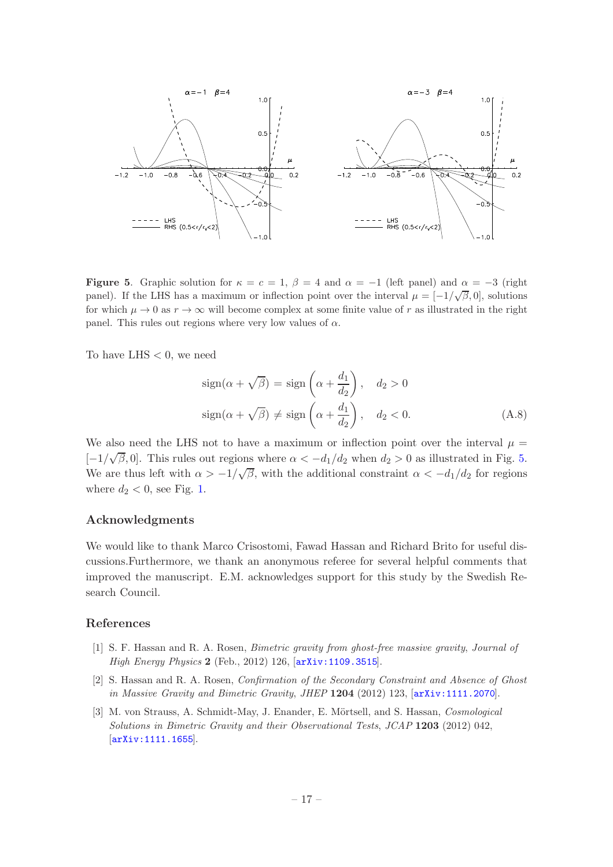

<span id="page-17-3"></span>**Figure 5.** Graphic solution for  $\kappa = c = 1$ ,  $\beta = 4$  and  $\alpha = -1$  (left panel) and  $\alpha = -3$  (right panel). If the LHS has a maximum or inflection point over the interval  $\mu = [-1/\sqrt{\beta}, 0]$ , solutions for which  $\mu \to 0$  as  $r \to \infty$  will become complex at some finite value of r as illustrated in the right panel. This rules out regions where very low values of  $\alpha$ .

To have LHS  $< 0$ , we need

$$
sign(\alpha + \sqrt{\beta}) = sign\left(\alpha + \frac{d_1}{d_2}\right), \quad d_2 > 0
$$
  

$$
sign(\alpha + \sqrt{\beta}) \neq sign\left(\alpha + \frac{d_1}{d_2}\right), \quad d_2 < 0.
$$
 (A.8)

We also need the LHS not to have a maximum or inflection point over the interval  $\mu =$ [-1/ $\sqrt{\beta}$ , 0]. This rules out regions where  $\alpha < -d_1/d_2$  when  $d_2 > 0$  as illustrated in Fig. [5.](#page-17-3) We are thus left with  $\alpha > -1/\sqrt{\beta}$ , with the additional constraint  $\alpha < -d_1/d_2$  for regions where  $d_2 < 0$ , see Fig. [1.](#page-7-1)

#### Acknowledgments

We would like to thank Marco Crisostomi, Fawad Hassan and Richard Brito for useful discussions.Furthermore, we thank an anonymous referee for several helpful comments that improved the manuscript. E.M. acknowledges support for this study by the Swedish Research Council.

#### References

- <span id="page-17-0"></span>[1] S. F. Hassan and R. A. Rosen, Bimetric gravity from ghost-free massive gravity, Journal of High Energy Physics 2 (Feb., 2012) 126, [[arXiv:1109.3515](http://xxx.lanl.gov/abs/1109.3515)].
- <span id="page-17-1"></span>[2] S. Hassan and R. A. Rosen, Confirmation of the Secondary Constraint and Absence of Ghost in Massive Gravity and Bimetric Gravity, JHEP 1204 (2012) 123, [[arXiv:1111.2070](http://xxx.lanl.gov/abs/1111.2070)].
- <span id="page-17-2"></span>[3] M. von Strauss, A. Schmidt-May, J. Enander, E. Mörtsell, and S. Hassan, Cosmological Solutions in Bimetric Gravity and their Observational Tests, JCAP 1203 (2012) 042, [[arXiv:1111.1655](http://xxx.lanl.gov/abs/1111.1655)].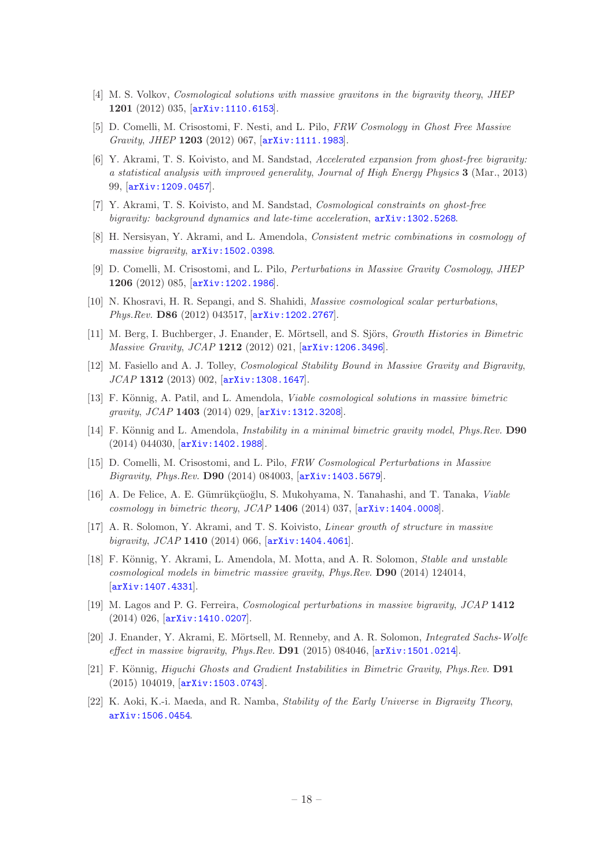- [4] M. S. Volkov, Cosmological solutions with massive gravitons in the bigravity theory, JHEP 1201 (2012) 035, [[arXiv:1110.6153](http://xxx.lanl.gov/abs/1110.6153)].
- [5] D. Comelli, M. Crisostomi, F. Nesti, and L. Pilo, FRW Cosmology in Ghost Free Massive Gravity, JHEP 1203 (2012) 067, [[arXiv:1111.1983](http://xxx.lanl.gov/abs/1111.1983)].
- [6] Y. Akrami, T. S. Koivisto, and M. Sandstad, Accelerated expansion from ghost-free bigravity: a statistical analysis with improved generality, Journal of High Energy Physics 3 (Mar., 2013) 99, [[arXiv:1209.0457](http://xxx.lanl.gov/abs/1209.0457)].
- [7] Y. Akrami, T. S. Koivisto, and M. Sandstad, Cosmological constraints on ghost-free bigravity: background dynamics and late-time acceleration,  $arXiv:1302.5268$ .
- <span id="page-18-0"></span>[8] H. Nersisyan, Y. Akrami, and L. Amendola, Consistent metric combinations in cosmology of massive bigravity,  $arXiv:1502.0398$ .
- <span id="page-18-1"></span>[9] D. Comelli, M. Crisostomi, and L. Pilo, Perturbations in Massive Gravity Cosmology, JHEP 1206 (2012) 085, [[arXiv:1202.1986](http://xxx.lanl.gov/abs/1202.1986)].
- [10] N. Khosravi, H. R. Sepangi, and S. Shahidi, Massive cosmological scalar perturbations, Phys.Rev. D86 (2012) 043517, [[arXiv:1202.2767](http://xxx.lanl.gov/abs/1202.2767)].
- [11] M. Berg, I. Buchberger, J. Enander, E. Mörtsell, and S. Sjörs, Growth Histories in Bimetric Massive Gravity, JCAP 1212 (2012) 021, [[arXiv:1206.3496](http://xxx.lanl.gov/abs/1206.3496)].
- [12] M. Fasiello and A. J. Tolley, Cosmological Stability Bound in Massive Gravity and Bigravity, JCAP 1312 (2013) 002, [[arXiv:1308.1647](http://xxx.lanl.gov/abs/1308.1647)].
- [13] F. Könnig, A. Patil, and L. Amendola, *Viable cosmological solutions in massive bimetric* gravity, JCAP 1403 (2014) 029, [[arXiv:1312.3208](http://xxx.lanl.gov/abs/1312.3208)].
- [14] F. Könnig and L. Amendola, *Instability in a minimal bimetric gravity model*, *Phys.Rev.* **D90** (2014) 044030, [[arXiv:1402.1988](http://xxx.lanl.gov/abs/1402.1988)].
- [15] D. Comelli, M. Crisostomi, and L. Pilo, FRW Cosmological Perturbations in Massive Bigravity, Phys.Rev. D90 (2014) 084003, [[arXiv:1403.5679](http://xxx.lanl.gov/abs/1403.5679)].
- [16] A. De Felice, A. E. Gümrükçüoğlu, S. Mukohyama, N. Tanahashi, and T. Tanaka, Viable cosmology in bimetric theory,  $JCAP$  1406 (2014) 037,  $[array:1404.0008]$ .
- [17] A. R. Solomon, Y. Akrami, and T. S. Koivisto, Linear growth of structure in massive bigravity, JCAP 1410 (2014) 066,  $[$ [arXiv:1404.4061](http://xxx.lanl.gov/abs/1404.4061)].
- [18] F. Könnig, Y. Akrami, L. Amendola, M. Motta, and A. R. Solomon, *Stable and unstable* cosmological models in bimetric massive gravity, Phys.Rev. D90 (2014) 124014, [[arXiv:1407.4331](http://xxx.lanl.gov/abs/1407.4331)].
- [19] M. Lagos and P. G. Ferreira, Cosmological perturbations in massive bigravity, JCAP 1412 (2014) 026, [[arXiv:1410.0207](http://xxx.lanl.gov/abs/1410.0207)].
- <span id="page-18-2"></span>[20] J. Enander, Y. Akrami, E. Mörtsell, M. Renneby, and A. R. Solomon, *Integrated Sachs-Wolfe* effect in massive bigravity,  $Phys. Rev. D91 (2015) 084046, \text{arXiv:1501.0214}.$  $Phys. Rev. D91 (2015) 084046, \text{arXiv:1501.0214}.$  $Phys. Rev. D91 (2015) 084046, \text{arXiv:1501.0214}.$
- [21] F. Könnig, *Higuchi Ghosts and Gradient Instabilities in Bimetric Gravity, Phys.Rev.* **D91** (2015) 104019, [[arXiv:1503.0743](http://xxx.lanl.gov/abs/1503.0743)].
- [22] K. Aoki, K.-i. Maeda, and R. Namba, Stability of the Early Universe in Bigravity Theory, [arXiv:1506.0454](http://xxx.lanl.gov/abs/1506.0454).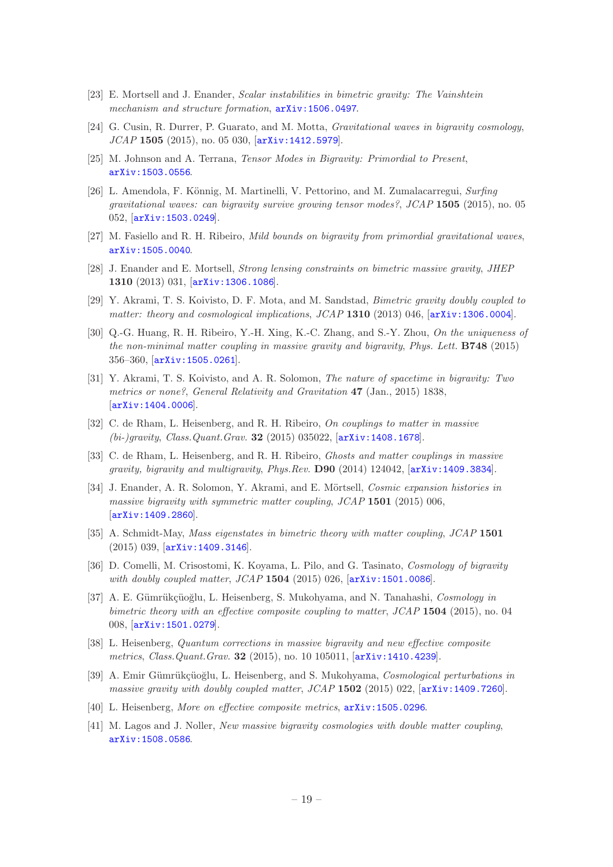- <span id="page-19-0"></span>[23] E. Mortsell and J. Enander, Scalar instabilities in bimetric gravity: The Vainshtein mechanism and structure formation,  $arXiv:1506.0497$ .
- <span id="page-19-1"></span>[24] G. Cusin, R. Durrer, P. Guarato, and M. Motta, Gravitational waves in bigravity cosmology, JCAP 1505 (2015), no. 05 030, [[arXiv:1412.5979](http://xxx.lanl.gov/abs/1412.5979)].
- [25] M. Johnson and A. Terrana, Tensor Modes in Bigravity: Primordial to Present, [arXiv:1503.0556](http://xxx.lanl.gov/abs/1503.0556).
- [26] L. Amendola, F. Könnig, M. Martinelli, V. Pettorino, and M. Zumalacarregui, Surfing gravitational waves: can bigravity survive growing tensor modes?, JCAP 1505 (2015), no. 05 052, [[arXiv:1503.0249](http://xxx.lanl.gov/abs/1503.0249)].
- <span id="page-19-2"></span>[27] M. Fasiello and R. H. Ribeiro, Mild bounds on bigravity from primordial gravitational waves, [arXiv:1505.0040](http://xxx.lanl.gov/abs/1505.0040).
- <span id="page-19-3"></span>[28] J. Enander and E. Mortsell, Strong lensing constraints on bimetric massive gravity, JHEP 1310 (2013) 031, [[arXiv:1306.1086](http://xxx.lanl.gov/abs/1306.1086)].
- <span id="page-19-4"></span>[29] Y. Akrami, T. S. Koivisto, D. F. Mota, and M. Sandstad, Bimetric gravity doubly coupled to matter: theory and cosmological implications, JCAP 1310 (2013) 046,  $[$ [arXiv:1306.0004](http://xxx.lanl.gov/abs/1306.0004)].
- [30] Q.-G. Huang, R. H. Ribeiro, Y.-H. Xing, K.-C. Zhang, and S.-Y. Zhou, On the uniqueness of the non-minimal matter coupling in massive gravity and bigravity, Phys. Lett. B748 (2015) 356–360, [[arXiv:1505.0261](http://xxx.lanl.gov/abs/1505.0261)].
- [31] Y. Akrami, T. S. Koivisto, and A. R. Solomon, The nature of spacetime in bigravity: Two metrics or none?, General Relativity and Gravitation 47 (Jan., 2015) 1838, [[arXiv:1404.0006](http://xxx.lanl.gov/abs/1404.0006)].
- [32] C. de Rham, L. Heisenberg, and R. H. Ribeiro, On couplings to matter in massive (bi-)gravity, Class.Quant.Grav. 32 (2015) 035022, [[arXiv:1408.1678](http://xxx.lanl.gov/abs/1408.1678)].
- [33] C. de Rham, L. Heisenberg, and R. H. Ribeiro, *Ghosts and matter couplings in massive* gravity, bigravity and multigravity, Phys.Rev. D90 (2014) 124042, [[arXiv:1409.3834](http://xxx.lanl.gov/abs/1409.3834)].
- [34] J. Enander, A. R. Solomon, Y. Akrami, and E. Mörtsell, Cosmic expansion histories in massive bigravity with symmetric matter coupling, JCAP 1501 (2015) 006, [[arXiv:1409.2860](http://xxx.lanl.gov/abs/1409.2860)].
- [35] A. Schmidt-May, Mass eigenstates in bimetric theory with matter coupling, JCAP 1501 (2015) 039, [[arXiv:1409.3146](http://xxx.lanl.gov/abs/1409.3146)].
- [36] D. Comelli, M. Crisostomi, K. Koyama, L. Pilo, and G. Tasinato, Cosmology of bigravity with doubly coupled matter, JCAP 1504 (2015) 026,  $[\text{arXiv:1501.0086}].$  $[\text{arXiv:1501.0086}].$  $[\text{arXiv:1501.0086}].$
- [37] A. E. Gümrükçüoğlu, L. Heisenberg, S. Mukohyama, and N. Tanahashi, Cosmology in bimetric theory with an effective composite coupling to matter,  $JCAP$  1504 (2015), no. 04 008, [[arXiv:1501.0279](http://xxx.lanl.gov/abs/1501.0279)].
- [38] L. Heisenberg, Quantum corrections in massive bigravity and new effective composite metrics, Class. Quant. Grav. 32 (2015), no. 10 105011,  $[array:1410.4239]$ .
- [39] A. Emir Gümrükçüoğlu, L. Heisenberg, and S. Mukohyama, Cosmological perturbations in massive gravity with doubly coupled matter,  $JCAP$  1502 (2015) 022, [[arXiv:1409.7260](http://xxx.lanl.gov/abs/1409.7260)].
- [40] L. Heisenberg, More on effective composite metrics,  $arXiv:1505.0296$ .
- <span id="page-19-5"></span>[41] M. Lagos and J. Noller, New massive bigravity cosmologies with double matter coupling, [arXiv:1508.0586](http://xxx.lanl.gov/abs/1508.0586).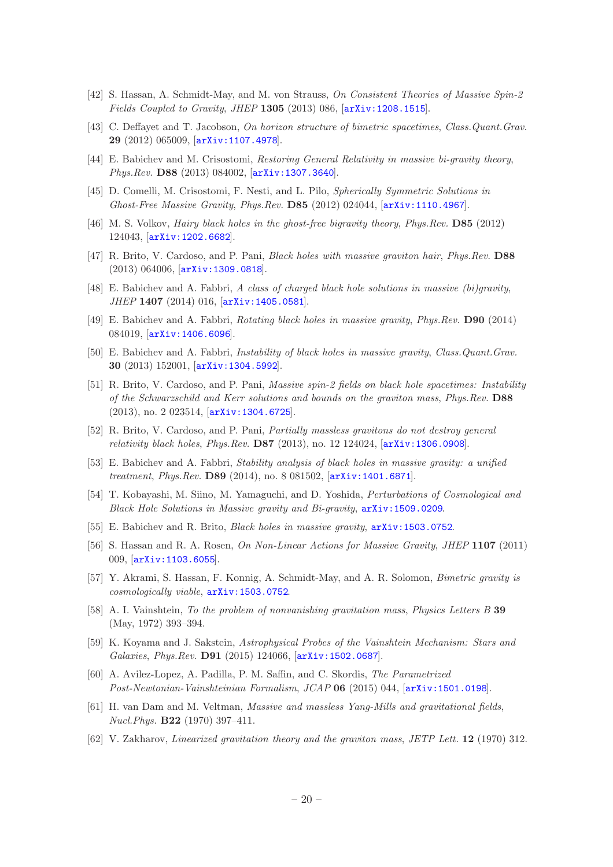- <span id="page-20-0"></span>[42] S. Hassan, A. Schmidt-May, and M. von Strauss, On Consistent Theories of Massive Spin-2 Fields Coupled to Gravity, JHEP 1305 (2013) 086, [[arXiv:1208.1515](http://xxx.lanl.gov/abs/1208.1515)].
- <span id="page-20-1"></span>[43] C. Deffayet and T. Jacobson, On horizon structure of bimetric spacetimes, Class.Quant.Grav. 29 (2012) 065009, [[arXiv:1107.4978](http://xxx.lanl.gov/abs/1107.4978)].
- <span id="page-20-2"></span>[44] E. Babichev and M. Crisostomi, Restoring General Relativity in massive bi-gravity theory, Phys.Rev. D88 (2013) 084002, [[arXiv:1307.3640](http://xxx.lanl.gov/abs/1307.3640)].
- <span id="page-20-3"></span>[45] D. Comelli, M. Crisostomi, F. Nesti, and L. Pilo, Spherically Symmetric Solutions in Ghost-Free Massive Gravity, Phys.Rev. D85 (2012) 024044, [[arXiv:1110.4967](http://xxx.lanl.gov/abs/1110.4967)].
- <span id="page-20-4"></span>[46] M. S. Volkov, Hairy black holes in the ghost-free bigravity theory, Phys.Rev. D85 (2012) 124043, [[arXiv:1202.6682](http://xxx.lanl.gov/abs/1202.6682)].
- <span id="page-20-5"></span>[47] R. Brito, V. Cardoso, and P. Pani, *Black holes with massive graviton hair*, *Phys.Rev.* D88 (2013) 064006, [[arXiv:1309.0818](http://xxx.lanl.gov/abs/1309.0818)].
- <span id="page-20-6"></span>[48] E. Babichev and A. Fabbri, A class of charged black hole solutions in massive (bi)gravity, JHEP 1407 (2014) 016, [[arXiv:1405.0581](http://xxx.lanl.gov/abs/1405.0581)].
- <span id="page-20-7"></span>[49] E. Babichev and A. Fabbri, Rotating black holes in massive gravity, Phys.Rev. D90 (2014) 084019, [[arXiv:1406.6096](http://xxx.lanl.gov/abs/1406.6096)].
- <span id="page-20-8"></span>[50] E. Babichev and A. Fabbri, Instability of black holes in massive gravity, Class.Quant.Grav. 30 (2013) 152001, [[arXiv:1304.5992](http://xxx.lanl.gov/abs/1304.5992)].
- <span id="page-20-17"></span>[51] R. Brito, V. Cardoso, and P. Pani, Massive spin-2 fields on black hole spacetimes: Instability of the Schwarzschild and Kerr solutions and bounds on the graviton mass, Phys.Rev. D88 (2013), no. 2 023514, [[arXiv:1304.6725](http://xxx.lanl.gov/abs/1304.6725)].
- <span id="page-20-19"></span>[52] R. Brito, V. Cardoso, and P. Pani, Partially massless gravitons do not destroy general relativity black holes, Phys.Rev. D87 (2013), no. 12 124024, [[arXiv:1306.0908](http://xxx.lanl.gov/abs/1306.0908)].
- <span id="page-20-18"></span>[53] E. Babichev and A. Fabbri, Stability analysis of black holes in massive gravity: a unified treatment, Phys.Rev. D89 (2014), no. 8 081502,  $[ary1401.6871]$ .
- <span id="page-20-9"></span>[54] T. Kobayashi, M. Siino, M. Yamaguchi, and D. Yoshida, Perturbations of Cosmological and Black Hole Solutions in Massive gravity and Bi-gravity, [arXiv:1509.0209](http://xxx.lanl.gov/abs/1509.0209).
- <span id="page-20-10"></span>[55] E. Babichev and R. Brito, Black holes in massive gravity, [arXiv:1503.0752](http://xxx.lanl.gov/abs/1503.0752).
- <span id="page-20-11"></span>[56] S. Hassan and R. A. Rosen, On Non-Linear Actions for Massive Gravity, JHEP 1107 (2011) 009, [[arXiv:1103.6055](http://xxx.lanl.gov/abs/1103.6055)].
- <span id="page-20-12"></span>[57] Y. Akrami, S. Hassan, F. Konnig, A. Schmidt-May, and A. R. Solomon, Bimetric gravity is cosmologically viable, [arXiv:1503.0752](http://xxx.lanl.gov/abs/1503.0752).
- <span id="page-20-13"></span>[58] A. I. Vainshtein, To the problem of nonvanishing gravitation mass, Physics Letters B 39 (May, 1972) 393–394.
- <span id="page-20-14"></span>[59] K. Koyama and J. Sakstein, Astrophysical Probes of the Vainshtein Mechanism: Stars and Galaxies, Phys.Rev. D91 (2015) 124066, [[arXiv:1502.0687](http://xxx.lanl.gov/abs/1502.0687)].
- <span id="page-20-15"></span>[60] A. Avilez-Lopez, A. Padilla, P. M. Saffin, and C. Skordis, The Parametrized Post-Newtonian-Vainshteinian Formalism, JCAP 06 (2015) 044, [[arXiv:1501.0198](http://xxx.lanl.gov/abs/1501.0198)].
- <span id="page-20-16"></span>[61] H. van Dam and M. Veltman, Massive and massless Yang-Mills and gravitational fields, Nucl.Phys. B22 (1970) 397–411.
- [62] V. Zakharov, Linearized gravitation theory and the graviton mass, JETP Lett. 12 (1970) 312.